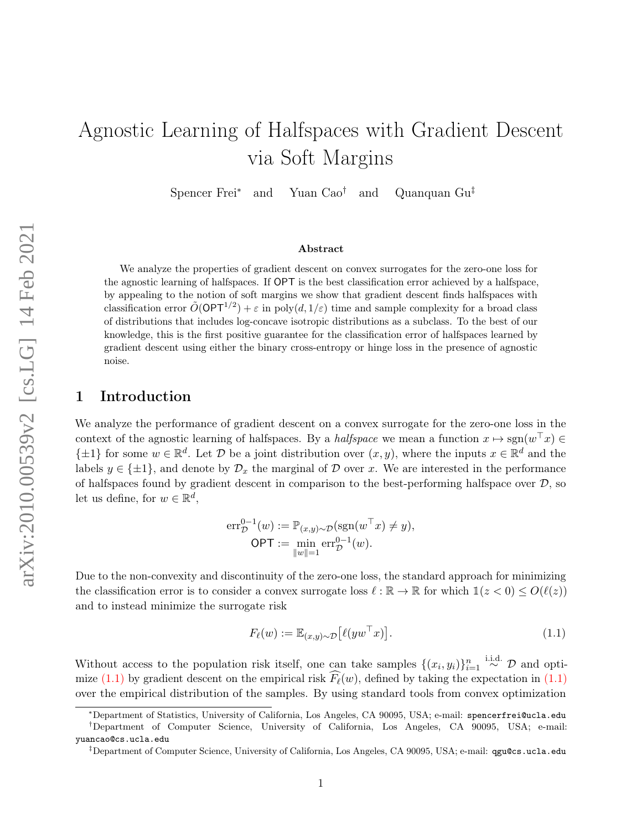# <span id="page-0-1"></span>Agnostic Learning of Halfspaces with Gradient Descent via Soft Margins

Spencer Frei<sup>∗</sup> and Yuan Cao† and Quanquan Gu‡

#### Abstract

We analyze the properties of gradient descent on convex surrogates for the zero-one loss for the agnostic learning of halfspaces. If OPT is the best classification error achieved by a halfspace, by appealing to the notion of soft margins we show that gradient descent finds halfspaces with classification error  $\tilde{O}(\mathsf{OPT}^{1/2}) + \varepsilon$  in poly $(d, 1/\varepsilon)$  time and sample complexity for a broad class of distributions that includes log-concave isotropic distributions as a subclass. To the best of our knowledge, this is the first positive guarantee for the classification error of halfspaces learned by gradient descent using either the binary cross-entropy or hinge loss in the presence of agnostic noise.

## 1 Introduction

We analyze the performance of gradient descent on a convex surrogate for the zero-one loss in the context of the agnostic learning of halfspaces. By a *halfspace* we mean a function  $x \mapsto \text{sgn}(w^{\top}x) \in$  $\{\pm 1\}$  for some  $w \in \mathbb{R}^d$ . Let  $\mathcal D$  be a joint distribution over  $(x, y)$ , where the inputs  $x \in \mathbb{R}^d$  and the labels  $y \in {\pm 1}$ , and denote by  $\mathcal{D}_x$  the marginal of  $\mathcal D$  over x. We are interested in the performance of halfspaces found by gradient descent in comparison to the best-performing halfspace over  $\mathcal{D}$ , so let us define, for  $w \in \mathbb{R}^d$ ,

$$
err_{\mathcal{D}}^{0-1}(w) := \mathbb{P}_{(x,y)\sim\mathcal{D}}(\text{sgn}(w^{\top}x) \neq y),
$$
  
OPT := 
$$
\min_{\|w\|=1} \text{err}_{\mathcal{D}}^{0-1}(w).
$$

Due to the non-convexity and discontinuity of the zero-one loss, the standard approach for minimizing the classification error is to consider a convex surrogate loss  $\ell : \mathbb{R} \to \mathbb{R}$  for which  $\mathbb{1}(z < 0) \leq O(\ell(z))$ and to instead minimize the surrogate risk

<span id="page-0-0"></span>
$$
F_{\ell}(w) := \mathbb{E}_{(x,y)\sim\mathcal{D}}\left[\ell(yw^{\top}x)\right].\tag{1.1}
$$

Without access to the population risk itself, one can take samples  $\{(x_i, y_i)\}_{i=1}^n \stackrel{\text{i.i.d.}}{\sim} \mathcal{D}$  and opti-mize [\(1.1\)](#page-0-0) by gradient descent on the empirical risk  $\widehat{F}_{\ell}(w)$ , defined by taking the expectation in (1.1) over the empirical distribution of the samples. By using standard tools from convex optimization

<sup>∗</sup>Department of Statistics, University of California, Los Angeles, CA 90095, USA; e-mail: spencerfrei@ucla.edu

<sup>†</sup>Department of Computer Science, University of California, Los Angeles, CA 90095, USA; e-mail: yuancao@cs.ucla.edu

<sup>‡</sup>Department of Computer Science, University of California, Los Angeles, CA 90095, USA; e-mail: qgu@cs.ucla.edu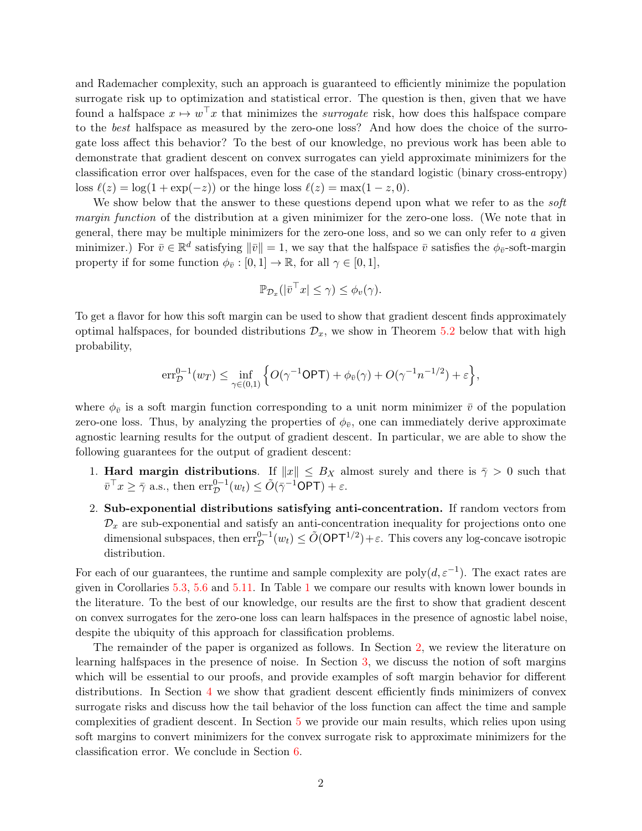and Rademacher complexity, such an approach is guaranteed to efficiently minimize the population surrogate risk up to optimization and statistical error. The question is then, given that we have found a halfspace  $x \mapsto w^{\top}x$  that minimizes the *surrogate* risk, how does this halfspace compare to the best halfspace as measured by the zero-one loss? And how does the choice of the surrogate loss affect this behavior? To the best of our knowledge, no previous work has been able to demonstrate that gradient descent on convex surrogates can yield approximate minimizers for the classification error over halfspaces, even for the case of the standard logistic (binary cross-entropy) loss  $\ell(z) = \log(1 + \exp(-z))$  or the hinge loss  $\ell(z) = \max(1 - z, 0)$ .

We show below that the answer to these questions depend upon what we refer to as the *soft* margin function of the distribution at a given minimizer for the zero-one loss. (We note that in general, there may be multiple minimizers for the zero-one loss, and so we can only refer to a given minimizer.) For  $\bar{v} \in \mathbb{R}^d$  satisfying  $\|\bar{v}\| = 1$ , we say that the halfspace  $\bar{v}$  satisfies the  $\phi_{\bar{v}}$ -soft-margin property if for some function  $\phi_{\overline{v}} : [0, 1] \to \mathbb{R}$ , for all  $\gamma \in [0, 1]$ ,

$$
\mathbb{P}_{\mathcal{D}_x}(|\bar{v}^\top x| \le \gamma) \le \phi_v(\gamma).
$$

To get a flavor for how this soft margin can be used to show that gradient descent finds approximately optimal halfspaces, for bounded distributions  $\mathcal{D}_x$ , we show in Theorem [5.2](#page-7-0) below that with high probability,

$$
\mathrm{err}_{\mathcal{D}}^{0-1}(w_T) \leq \inf_{\gamma \in (0,1)} \Big\{ O(\gamma^{-1}\mathsf{OPT}) + \phi_{\bar{v}}(\gamma) + O(\gamma^{-1}n^{-1/2}) + \varepsilon \Big\},
$$

where  $\phi_{\bar{v}}$  is a soft margin function corresponding to a unit norm minimizer  $\bar{v}$  of the population zero-one loss. Thus, by analyzing the properties of  $\phi_{\bar{v}}$ , one can immediately derive approximate agnostic learning results for the output of gradient descent. In particular, we are able to show the following guarantees for the output of gradient descent:

- 1. **Hard margin distributions.** If  $||x|| \leq B_X$  almost surely and there is  $\bar{\gamma} > 0$  such that  $\bar{v}^\top x \geq \bar{\gamma}$  a.s., then  $\text{err}_{\mathcal{D}}^{0-1}(w_t) \leq \tilde{O}(\bar{\gamma}^{-1} \textsf{OPT}) + \varepsilon$ .
- 2. Sub-exponential distributions satisfying anti-concentration. If random vectors from  $\mathcal{D}_x$  are sub-exponential and satisfy an anti-concentration inequality for projections onto one dimensional subspaces, then  $err_{\mathcal{D}}^{0-1}(w_t) \le \tilde{O}(\mathsf{OPT}^{1/2}) + \varepsilon$ . This covers any log-concave isotropic distribution.

For each of our guarantees, the runtime and sample complexity are  $poly(d, \varepsilon^{-1})$ . The exact rates are given in Corollaries [5.3,](#page-8-0) [5.6](#page-9-0) and [5.11.](#page-11-0) In Table [1](#page-2-0) we compare our results with known lower bounds in the literature. To the best of our knowledge, our results are the first to show that gradient descent on convex surrogates for the zero-one loss can learn halfspaces in the presence of agnostic label noise, despite the ubiquity of this approach for classification problems.

The remainder of the paper is organized as follows. In Section [2,](#page-2-1) we review the literature on learning halfspaces in the presence of noise. In Section [3,](#page-3-0) we discuss the notion of soft margins which will be essential to our proofs, and provide examples of soft margin behavior for different distributions. In Section [4](#page-5-0) we show that gradient descent efficiently finds minimizers of convex surrogate risks and discuss how the tail behavior of the loss function can affect the time and sample complexities of gradient descent. In Section [5](#page-6-0) we provide our main results, which relies upon using soft margins to convert minimizers for the convex surrogate risk to approximate minimizers for the classification error. We conclude in Section [6.](#page-11-1)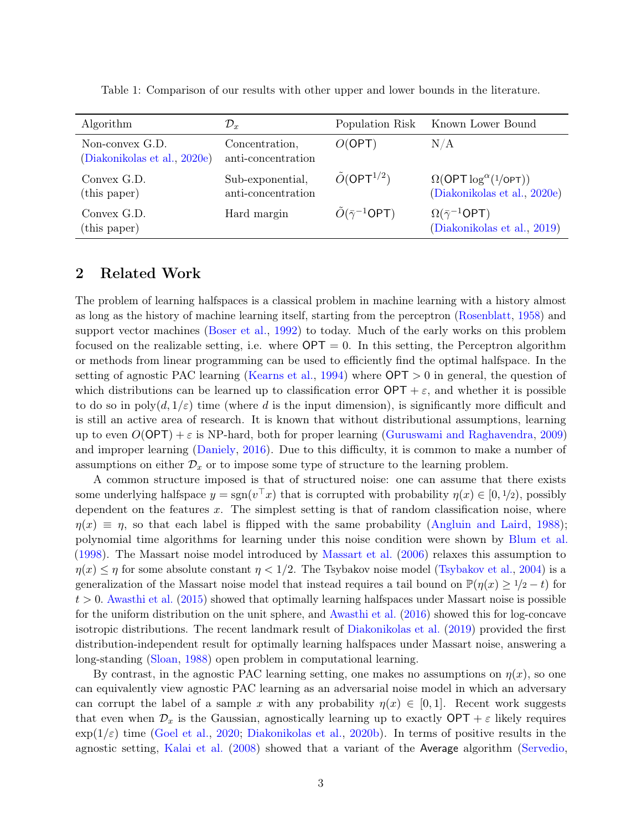| Algorithm                                       | $\mathcal{D}_x$                        | Population Risk                    | Known Lower Bound                                                      |
|-------------------------------------------------|----------------------------------------|------------------------------------|------------------------------------------------------------------------|
| Non-convex G.D.<br>(Diakonikolas et al., 2020e) | Concentration,<br>anti-concentration   | O(OPT)                             | N/A                                                                    |
| Convex G.D.<br>(this paper)                     | Sub-exponential,<br>anti-concentration | $\tilde{O}(\mathsf{OPT}^{1/2})$    | $\Omega$ (OPT $\log^{\alpha}(1/$ OPT))<br>(Diakonikolas et al., 2020e) |
| Convex G.D.<br>(this paper)                     | Hard margin                            | $\tilde{O}(\bar{\gamma}^{-1}$ OPT) | $\Omega(\bar{\gamma}^{-1}$ OPT)<br>(Diakonikolas et al., 2019)         |

<span id="page-2-0"></span>Table 1: Comparison of our results with other upper and lower bounds in the literature.

#### <span id="page-2-1"></span>2 Related Work

The problem of learning halfspaces is a classical problem in machine learning with a history almost as long as the history of machine learning itself, starting from the perceptron [\(Rosenblatt,](#page-23-1) [1958\)](#page-23-1) and support vector machines [\(Boser et al.,](#page-22-1) [1992\)](#page-22-1) to today. Much of the early works on this problem focused on the realizable setting, i.e. where  $\mathsf{OPT} = 0$ . In this setting, the Perceptron algorithm or methods from linear programming can be used to efficiently find the optimal halfspace. In the setting of agnostic PAC learning [\(Kearns et al.,](#page-23-2) [1994\)](#page-23-2) where OPT > 0 in general, the question of which distributions can be learned up to classification error  $\text{OPT} + \varepsilon$ , and whether it is possible to do so in  $poly(d, 1/\varepsilon)$  time (where d is the input dimension), is significantly more difficult and is still an active area of research. It is known that without distributional assumptions, learning up to even  $O(OPT) + \varepsilon$  is NP-hard, both for proper learning [\(Guruswami and Raghavendra,](#page-23-3) [2009\)](#page-23-3) and improper learning [\(Daniely,](#page-22-2) [2016\)](#page-22-2). Due to this difficulty, it is common to make a number of assumptions on either  $\mathcal{D}_x$  or to impose some type of structure to the learning problem.

A common structure imposed is that of structured noise: one can assume that there exists some underlying halfspace  $y = sgn(v^{\top}x)$  that is corrupted with probability  $\eta(x) \in [0, 1/2)$ , possibly dependent on the features  $x$ . The simplest setting is that of random classification noise, where  $\eta(x) \equiv \eta$ , so that each label is flipped with the same probability [\(Angluin and Laird,](#page-21-0) [1988\)](#page-21-0); polynomial time algorithms for learning under this noise condition were shown by [Blum et al.](#page-22-3) [\(1998\)](#page-22-3). The Massart noise model introduced by [Massart et al.](#page-23-4) [\(2006\)](#page-23-4) relaxes this assumption to  $\eta(x) \leq \eta$  for some absolute constant  $\eta < 1/2$ . The Tsybakov noise model [\(Tsybakov et al.,](#page-24-0) [2004\)](#page-24-0) is a generalization of the Massart noise model that instead requires a tail bound on  $\mathbb{P}(\eta(x) \geq 1/2 - t)$  for  $t > 0$ . [Awasthi et al.](#page-21-1) [\(2015\)](#page-21-1) showed that optimally learning halfspaces under Massart noise is possible for the uniform distribution on the unit sphere, and [Awasthi et al.](#page-22-4) [\(2016\)](#page-22-4) showed this for log-concave isotropic distributions. The recent landmark result of [Diakonikolas et al.](#page-22-0) [\(2019\)](#page-22-0) provided the first distribution-independent result for optimally learning halfspaces under Massart noise, answering a long-standing [\(Sloan,](#page-24-1) [1988\)](#page-24-1) open problem in computational learning.

By contrast, in the agnostic PAC learning setting, one makes no assumptions on  $\eta(x)$ , so one can equivalently view agnostic PAC learning as an adversarial noise model in which an adversary can corrupt the label of a sample x with any probability  $\eta(x) \in [0,1]$ . Recent work suggests that even when  $\mathcal{D}_x$  is the Gaussian, agnostically learning up to exactly  $\text{OPT} + \varepsilon$  likely requires  $\exp(1/\varepsilon)$  time [\(Goel et al.,](#page-23-5) [2020;](#page-23-5) [Diakonikolas et al.,](#page-22-5) [2020b\)](#page-22-5). In terms of positive results in the agnostic setting, [Kalai et al.](#page-23-6) [\(2008\)](#page-23-6) showed that a variant of the Average algorithm [\(Servedio,](#page-23-7)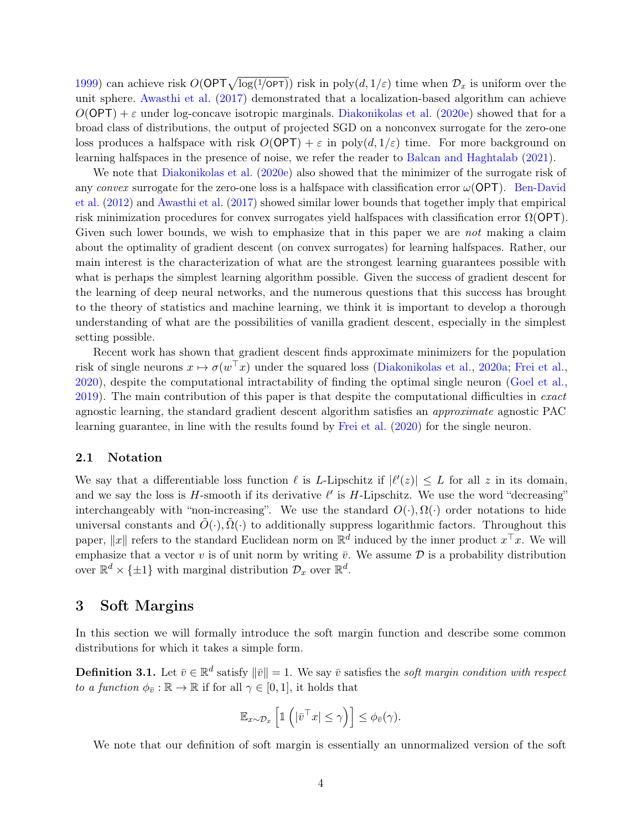[1999\)](#page-23-7) can achieve risk  $O(\mathsf{OPT}\sqrt{\log(1/\mathsf{OPT})})$  risk in poly $(d, 1/\varepsilon)$  time when  $\mathcal{D}_x$  is uniform over the unit sphere. [Awasthi et al.](#page-21-2) [\(2017\)](#page-21-2) demonstrated that a localization-based algorithm can achieve  $O(OPT) + \varepsilon$  under log-concave isotropic marginals. [Diakonikolas et al.](#page-23-0) [\(2020e\)](#page-23-0) showed that for a broad class of distributions, the output of projected SGD on a nonconvex surrogate for the zero-one loss produces a halfspace with risk  $O(OPT) + \varepsilon$  in poly $(d, 1/\varepsilon)$  time. For more background on learning halfspaces in the presence of noise, we refer the reader to [Balcan and Haghtalab](#page-22-6) [\(2021\)](#page-22-6).

We note that [Diakonikolas et al.](#page-23-0) [\(2020e\)](#page-23-0) also showed that the minimizer of the surrogate risk of any convex surrogate for the zero-one loss is a halfspace with classification error  $\omega(OPT)$ . [Ben-David](#page-22-7) [et al.](#page-22-7) [\(2012\)](#page-22-7) and [Awasthi et al.](#page-21-2) [\(2017\)](#page-21-2) showed similar lower bounds that together imply that empirical risk minimization procedures for convex surrogates yield halfspaces with classification error  $\Omega$ (OPT). Given such lower bounds, we wish to emphasize that in this paper we are *not* making a claim about the optimality of gradient descent (on convex surrogates) for learning halfspaces. Rather, our main interest is the characterization of what are the strongest learning guarantees possible with what is perhaps the simplest learning algorithm possible. Given the success of gradient descent for the learning of deep neural networks, and the numerous questions that this success has brought to the theory of statistics and machine learning, we think it is important to develop a thorough understanding of what are the possibilities of vanilla gradient descent, especially in the simplest setting possible.

Recent work has shown that gradient descent finds approximate minimizers for the population risk of single neurons  $x \mapsto \sigma(w^{\top}x)$  under the squared loss [\(Diakonikolas et al.,](#page-22-8) [2020a;](#page-22-8) [Frei et al.,](#page-23-8) [2020\)](#page-23-8), despite the computational intractability of finding the optimal single neuron [\(Goel et al.,](#page-23-9) [2019\)](#page-23-9). The main contribution of this paper is that despite the computational difficulties in exact agnostic learning, the standard gradient descent algorithm satisfies an approximate agnostic PAC learning guarantee, in line with the results found by [Frei et al.](#page-23-8) [\(2020\)](#page-23-8) for the single neuron.

#### 2.1 Notation

We say that a differentiable loss function  $\ell$  is L-Lipschitz if  $|\ell'(z)| \leq L$  for all z in its domain, and we say the loss is  $H$ -smooth if its derivative  $\ell'$  is  $H$ -Lipschitz. We use the word "decreasing" interchangeably with "non-increasing". We use the standard  $O(\cdot), \Omega(\cdot)$  order notations to hide universal constants and  $\tilde{O}(\cdot), \tilde{\Omega}(\cdot)$  to additionally suppress logarithmic factors. Throughout this paper,  $||x||$  refers to the standard Euclidean norm on  $\mathbb{R}^d$  induced by the inner product  $x^\top x$ . We will emphasize that a vector v is of unit norm by writing  $\bar{v}$ . We assume  $\bar{\mathcal{D}}$  is a probability distribution over  $\mathbb{R}^d \times {\{\pm 1\}}$  with marginal distribution  $\mathcal{D}_x$  over  $\mathbb{R}^d$ .

#### <span id="page-3-0"></span>3 Soft Margins

In this section we will formally introduce the soft margin function and describe some common distributions for which it takes a simple form.

<span id="page-3-1"></span>**Definition 3.1.** Let  $\bar{v} \in \mathbb{R}^d$  satisfy  $\|\bar{v}\| = 1$ . We say  $\bar{v}$  satisfies the soft margin condition with respect to a function  $\phi_{\bar{v}} : \mathbb{R} \to \mathbb{R}$  if for all  $\gamma \in [0, 1]$ , it holds that

$$
\mathbb{E}_{x \sim \mathcal{D}_x} \left[ \mathbb{1} \left( |\bar{v}^\top x| \le \gamma \right) \right] \le \phi_{\bar{v}}(\gamma).
$$

We note that our definition of soft margin is essentially an unnormalized version of the soft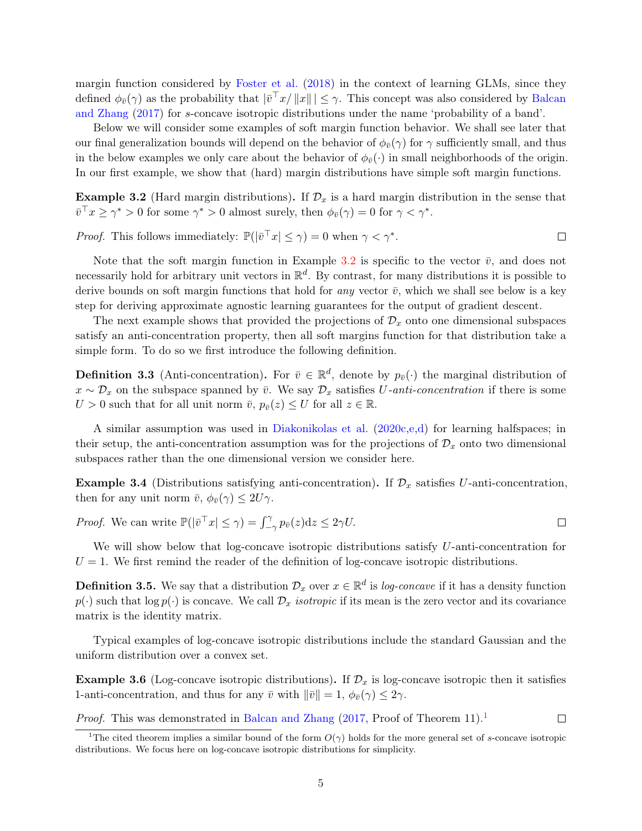margin function considered by [Foster et al.](#page-23-10) [\(2018\)](#page-23-10) in the context of learning GLMs, since they defined  $\phi_{\bar{v}}(\gamma)$  as the probability that  $|\bar{v}^\top x/||x||| \leq \gamma$ . This concept was also considered by [Balcan](#page-22-9) [and Zhang](#page-22-9) [\(2017\)](#page-22-9) for s-concave isotropic distributions under the name 'probability of a band'.

Below we will consider some examples of soft margin function behavior. We shall see later that our final generalization bounds will depend on the behavior of  $\phi_{\bar{v}}(\gamma)$  for  $\gamma$  sufficiently small, and thus in the below examples we only care about the behavior of  $\phi_{\bar{v}}(\cdot)$  in small neighborhoods of the origin. In our first example, we show that (hard) margin distributions have simple soft margin functions.

<span id="page-4-0"></span>Example 3.2 (Hard margin distributions). If  $\mathcal{D}_x$  is a hard margin distribution in the sense that  $\bar{v}^\top x \ge \gamma^* > 0$  for some  $\gamma^* > 0$  almost surely, then  $\phi_{\bar{v}}(\gamma) = 0$  for  $\gamma < \gamma^*$ .

*Proof.* This follows immediately:  $\mathbb{P}(|\bar{v}^T x| \leq \gamma) = 0$  when  $\gamma < \gamma^*$ .  $\Box$ 

Note that the soft margin function in Example [3.2](#page-4-0) is specific to the vector  $\bar{v}$ , and does not necessarily hold for arbitrary unit vectors in  $\mathbb{R}^d$ . By contrast, for many distributions it is possible to derive bounds on soft margin functions that hold for *any* vector  $\bar{v}$ , which we shall see below is a key step for deriving approximate agnostic learning guarantees for the output of gradient descent.

The next example shows that provided the projections of  $\mathcal{D}_x$  onto one dimensional subspaces satisfy an anti-concentration property, then all soft margins function for that distribution take a simple form. To do so we first introduce the following definition.

**Definition 3.3** (Anti-concentration). For  $\bar{v} \in \mathbb{R}^d$ , denote by  $p_{\bar{v}}(\cdot)$  the marginal distribution of  $x \sim \mathcal{D}_x$  on the subspace spanned by  $\bar{v}$ . We say  $\mathcal{D}_x$  satisfies U-anti-concentration if there is some  $U > 0$  such that for all unit norm  $\bar{v}$ ,  $p_{\bar{v}}(z) \leq U$  for all  $z \in \mathbb{R}$ .

A similar assumption was used in [Diakonikolas et al.](#page-22-10) [\(2020c](#page-22-10)[,e](#page-23-0)[,d\)](#page-22-11) for learning halfspaces; in their setup, the anti-concentration assumption was for the projections of  $\mathcal{D}_x$  onto two dimensional subspaces rather than the one dimensional version we consider here.

<span id="page-4-1"></span>**Example 3.4** (Distributions satisfying anti-concentration). If  $\mathcal{D}_x$  satisfies U-anti-concentration, then for any unit norm  $\bar{v}$ ,  $\phi_{\bar{v}}(\gamma) \leq 2U\gamma$ .

*Proof.* We can write  $\mathbb{P}(|\bar{v}^{\top} x| \leq \gamma) = \int_{-\gamma}^{\gamma} p_{\bar{v}}(z) dz \leq 2\gamma U$ .  $\Box$ 

We will show below that log-concave isotropic distributions satisfy U-anti-concentration for  $U = 1$ . We first remind the reader of the definition of log-concave isotropic distributions.

**Definition 3.5.** We say that a distribution  $\mathcal{D}_x$  over  $x \in \mathbb{R}^d$  is log-concave if it has a density function  $p(\cdot)$  such that  $\log p(\cdot)$  is concave. We call  $\mathcal{D}_x$  isotropic if its mean is the zero vector and its covariance matrix is the identity matrix.

Typical examples of log-concave isotropic distributions include the standard Gaussian and the uniform distribution over a convex set.

<span id="page-4-2"></span>**Example 3.6** (Log-concave isotropic distributions). If  $\mathcal{D}_x$  is log-concave isotropic then it satisfies 1-anti-concentration, and thus for any  $\bar{v}$  with  $\|\bar{v}\|=1$ ,  $\phi_{\bar{v}}(\gamma) \leq 2\gamma$ .

*Proof.* This was demonstrated in [Balcan and Zhang](#page-22-9)  $(2017, \text{Proof of Theorem } 11).$  $(2017, \text{Proof of Theorem } 11).$  $(2017, \text{Proof of Theorem } 11).$  $(2017, \text{Proof of Theorem } 11).$ <sup>1</sup>

<sup>&</sup>lt;sup>1</sup>The cited theorem implies a similar bound of the form  $O(\gamma)$  holds for the more general set of s-concave isotropic distributions. We focus here on log-concave isotropic distributions for simplicity.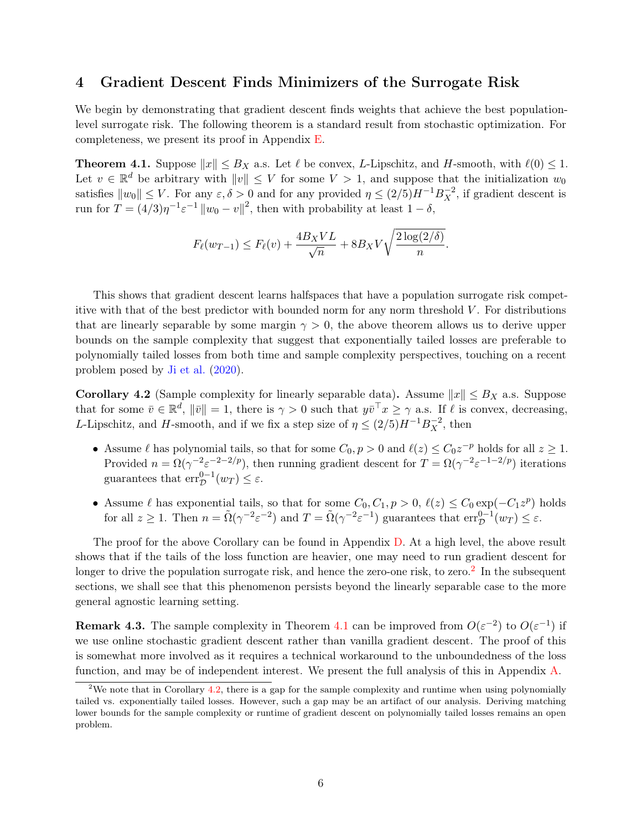#### <span id="page-5-0"></span>4 Gradient Descent Finds Minimizers of the Surrogate Risk

We begin by demonstrating that gradient descent finds weights that achieve the best populationlevel surrogate risk. The following theorem is a standard result from stochastic optimization. For completeness, we present its proof in Appendix [E.](#page-20-0)

<span id="page-5-1"></span>**Theorem 4.1.** Suppose  $||x|| \leq B_X$  a.s. Let  $\ell$  be convex, L-Lipschitz, and H-smooth, with  $\ell(0) \leq 1$ . Let  $v \in \mathbb{R}^d$  be arbitrary with  $||v|| \leq V$  for some  $V > 1$ , and suppose that the initialization  $w_0$ satisfies  $||w_0|| \leq V$ . For any  $\varepsilon, \delta > 0$  and for any provided  $\eta \leq (2/5)H^{-1}B_X^{-2}$ , if gradient descent is run for  $T = (4/3)\eta^{-1} \varepsilon^{-1} ||w_0 - v||^2$ , then with probability at least  $1 - \delta$ ,

$$
F_{\ell}(w_{T-1}) \le F_{\ell}(v) + \frac{4B_XVL}{\sqrt{n}} + 8B_XV\sqrt{\frac{2\log(2/\delta)}{n}}.
$$

This shows that gradient descent learns halfspaces that have a population surrogate risk competitive with that of the best predictor with bounded norm for any norm threshold  $V$ . For distributions that are linearly separable by some margin  $\gamma > 0$ , the above theorem allows us to derive upper bounds on the sample complexity that suggest that exponentially tailed losses are preferable to polynomially tailed losses from both time and sample complexity perspectives, touching on a recent problem posed by [Ji et al.](#page-23-11) [\(2020\)](#page-23-11).

<span id="page-5-2"></span>**Corollary 4.2** (Sample complexity for linearly separable data). Assume  $||x|| \leq B_X$  a.s. Suppose that for some  $\bar{v} \in \mathbb{R}^d$ ,  $\|\bar{v}\| = 1$ , there is  $\gamma > 0$  such that  $y\bar{v}^\top x \geq \gamma$  a.s. If  $\ell$  is convex, decreasing, L-Lipschitz, and H-smooth, and if we fix a step size of  $\eta \leq (2/5)H^{-1}B_X^{-2}$ , then

- Assume  $\ell$  has polynomial tails, so that for some  $C_0, p > 0$  and  $\ell(z) \leq C_0 z^{-p}$  holds for all  $z \geq 1$ . Provided  $n = \Omega(\gamma^{-2} \varepsilon^{-2}^{-2/p})$ , then running gradient descent for  $T = \Omega(\gamma^{-2} \varepsilon^{-1}^{-2/p})$  iterations guarantees that  $\text{err}_{\mathcal{D}}^{0-1}(w_T) \leq \varepsilon$ .
- Assume  $\ell$  has exponential tails, so that for some  $C_0, C_1, p > 0, \ell(z) \leq C_0 \exp(-C_1 z^p)$  holds for all  $z \ge 1$ . Then  $n = \tilde{\Omega}(\gamma^{-2} \varepsilon^{-2})$  and  $T = \tilde{\Omega}(\gamma^{-2} \varepsilon^{-1})$  guarantees that  $\text{err}_{\mathcal{D}}^{0-1}(w_T) \le \varepsilon$ .

The proof for the above Corollary can be found in Appendix [D.](#page-19-0) At a high level, the above result shows that if the tails of the loss function are heavier, one may need to run gradient descent for longer to drive the population surrogate risk, and hence the zero-one risk, to zero.<sup>[2](#page-0-1)</sup> In the subsequent sections, we shall see that this phenomenon persists beyond the linearly separable case to the more general agnostic learning setting.

**Remark 4.3.** The sample complexity in Theorem [4.1](#page-5-1) can be improved from  $O(\varepsilon^{-2})$  to  $O(\varepsilon^{-1})$  if we use online stochastic gradient descent rather than vanilla gradient descent. The proof of this is somewhat more involved as it requires a technical workaround to the unboundedness of the loss function, and may be of independent interest. We present the full analysis of this in Appendix [A.](#page-12-0)

<sup>&</sup>lt;sup>2</sup>We note that in Corollary [4.2,](#page-5-2) there is a gap for the sample complexity and runtime when using polynomially tailed vs. exponentially tailed losses. However, such a gap may be an artifact of our analysis. Deriving matching lower bounds for the sample complexity or runtime of gradient descent on polynomially tailed losses remains an open problem.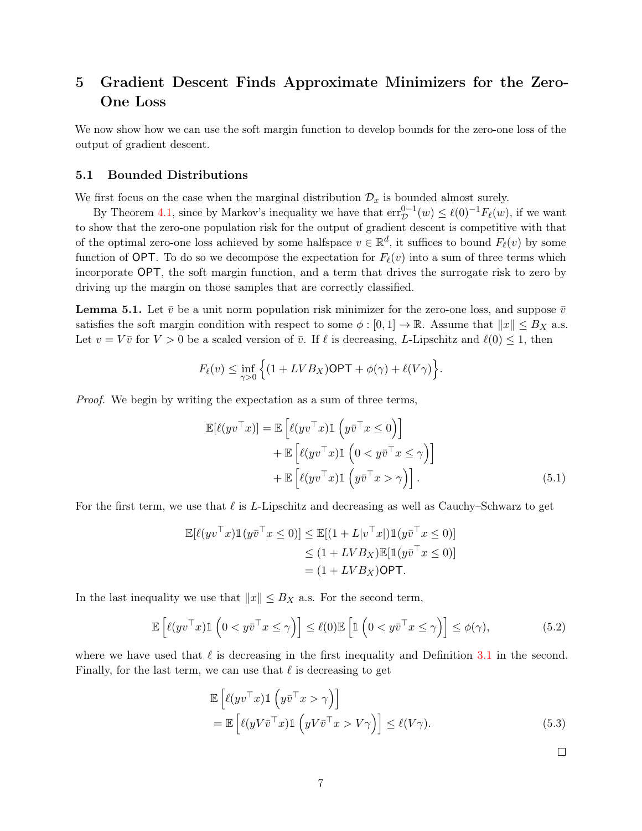## <span id="page-6-0"></span>5 Gradient Descent Finds Approximate Minimizers for the Zero-One Loss

We now show how we can use the soft margin function to develop bounds for the zero-one loss of the output of gradient descent.

#### <span id="page-6-3"></span>5.1 Bounded Distributions

We first focus on the case when the marginal distribution  $\mathcal{D}_x$  is bounded almost surely.

By Theorem [4.1,](#page-5-1) since by Markov's inequality we have that  $err_{\mathcal{D}}^{0-1}(w) \leq \ell(0)^{-1}F_{\ell}(w)$ , if we want to show that the zero-one population risk for the output of gradient descent is competitive with that of the optimal zero-one loss achieved by some halfspace  $v \in \mathbb{R}^d$ , it suffices to bound  $F_{\ell}(v)$  by some function of OPT. To do so we decompose the expectation for  $F_{\ell}(v)$  into a sum of three terms which incorporate OPT, the soft margin function, and a term that drives the surrogate risk to zero by driving up the margin on those samples that are correctly classified.

<span id="page-6-1"></span>**Lemma 5.1.** Let  $\bar{v}$  be a unit norm population risk minimizer for the zero-one loss, and suppose  $\bar{v}$ satisfies the soft margin condition with respect to some  $\phi : [0,1] \to \mathbb{R}$ . Assume that  $||x|| \leq B_X$  a.s. Let  $v = V\bar{v}$  for  $V > 0$  be a scaled version of  $\bar{v}$ . If  $\ell$  is decreasing, L-Lipschitz and  $\ell(0) \leq 1$ , then

$$
F_{\ell}(v) \le \inf_{\gamma>0} \Big\{ (1 + LVB_X) \mathsf{OPT} + \phi(\gamma) + \ell(V\gamma) \Big\}.
$$

Proof. We begin by writing the expectation as a sum of three terms,

<span id="page-6-2"></span>
$$
\mathbb{E}[\ell(yv^\top x)] = \mathbb{E}\left[\ell(yv^\top x)\mathbb{1}\left(y\bar{v}^\top x \le 0\right)\right] \n+ \mathbb{E}\left[\ell(yv^\top x)\mathbb{1}\left(0 < y\bar{v}^\top x \le \gamma\right)\right] \n+ \mathbb{E}\left[\ell(yv^\top x)\mathbb{1}\left(y\bar{v}^\top x > \gamma\right)\right].
$$
\n(5.1)

For the first term, we use that  $\ell$  is L-Lipschitz and decreasing as well as Cauchy–Schwarz to get

$$
\mathbb{E}[\ell(yv^\top x)\mathbb{1}(y\bar{v}^\top x \le 0)] \le \mathbb{E}[(1 + L|v^\top x|)\mathbb{1}(y\bar{v}^\top x \le 0)]
$$
  
\n
$$
\le (1 + LVB_X)\mathbb{E}[\mathbb{1}(y\bar{v}^\top x \le 0)]
$$
  
\n
$$
= (1 + LVB_X)\mathsf{OPT}.
$$

In the last inequality we use that  $||x|| \leq B_X$  a.s. For the second term,

$$
\mathbb{E}\left[\ell(yv^\top x)\mathbb{1}\left(0 < y\bar{v}^\top x \le \gamma\right)\right] \le \ell(0)\mathbb{E}\left[\mathbb{1}\left(0 < y\bar{v}^\top x \le \gamma\right)\right] \le \phi(\gamma),\tag{5.2}
$$

where we have used that  $\ell$  is decreasing in the first inequality and Definition [3.1](#page-3-1) in the second. Finally, for the last term, we can use that  $\ell$  is decreasing to get

$$
\mathbb{E}\left[\ell(yv^\top x)\mathbb{1}\left(y\bar{v}^\top x > \gamma\right)\right] \n= \mathbb{E}\left[\ell(yV\bar{v}^\top x)\mathbb{1}\left(yV\bar{v}^\top x > V\gamma\right)\right] \le \ell(V\gamma).
$$
\n(5.3)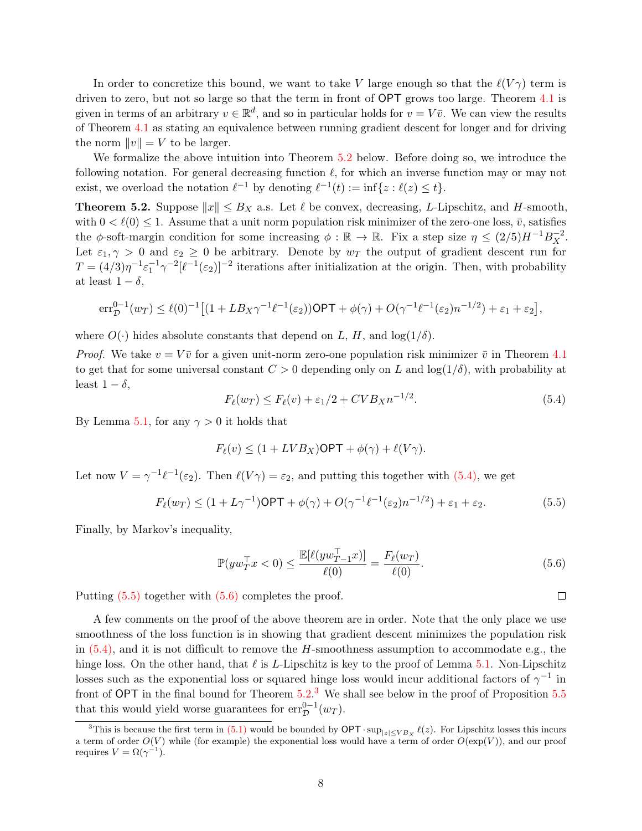In order to concretize this bound, we want to take V large enough so that the  $\ell(V\gamma)$  term is driven to zero, but not so large so that the term in front of OPT grows too large. Theorem [4.1](#page-5-1) is given in terms of an arbitrary  $v \in \mathbb{R}^d$ , and so in particular holds for  $v = V\bar{v}$ . We can view the results of Theorem [4.1](#page-5-1) as stating an equivalence between running gradient descent for longer and for driving the norm  $||v|| = V$  to be larger.

We formalize the above intuition into Theorem [5.2](#page-7-0) below. Before doing so, we introduce the following notation. For general decreasing function  $\ell$ , for which an inverse function may or may not exist, we overload the notation  $\ell^{-1}$  by denoting  $\ell^{-1}(t) := \inf\{z : \ell(z) \le t\}.$ 

<span id="page-7-0"></span>**Theorem 5.2.** Suppose  $||x|| \leq B_X$  a.s. Let  $\ell$  be convex, decreasing, L-Lipschitz, and H-smooth, with  $0 < \ell(0) \leq 1$ . Assume that a unit norm population risk minimizer of the zero-one loss,  $\bar{v}$ , satisfies the  $\phi$ -soft-margin condition for some increasing  $\phi : \mathbb{R} \to \mathbb{R}$ . Fix a step size  $\eta \leq (2/5)H^{-1}B_X^{-2}$ . Let  $\varepsilon_1, \gamma > 0$  and  $\varepsilon_2 \geq 0$  be arbitrary. Denote by  $w_T$  the output of gradient descent run for  $T = (4/3)\eta^{-1}\varepsilon_1^{-1}\gamma^{-2}[\ell^{-1}(\varepsilon_2)]^{-2}$  iterations after initialization at the origin. Then, with probability at least  $1 - \delta$ ,

$$
\mathrm{err}_{\mathcal{D}}^{0-1}(w_T) \leq \ell(0)^{-1} \big[ (1 + LB_X\gamma^{-1}\ell^{-1}(\varepsilon_2))\mathsf{OPT} + \phi(\gamma) + O(\gamma^{-1}\ell^{-1}(\varepsilon_2)n^{-1/2}) + \varepsilon_1 + \varepsilon_2 \big],
$$

where  $O(\cdot)$  hides absolute constants that depend on L, H, and  $log(1/\delta)$ .

*Proof.* We take  $v = V\bar{v}$  for a given unit-norm zero-one population risk minimizer  $\bar{v}$  in Theorem [4.1](#page-5-1) to get that for some universal constant  $C > 0$  depending only on L and  $log(1/\delta)$ , with probability at least  $1 - \delta$ ,

<span id="page-7-1"></span>
$$
F_{\ell}(w_T) \le F_{\ell}(v) + \varepsilon_1/2 + CVB_X n^{-1/2}.
$$
\n(5.4)

By Lemma [5.1,](#page-6-1) for any  $\gamma > 0$  it holds that

<span id="page-7-2"></span>
$$
F_{\ell}(v) \le (1 + LVB_X)\mathsf{OPT} + \phi(\gamma) + \ell(V\gamma).
$$

Let now  $V = \gamma^{-1} \ell^{-1}(\varepsilon_2)$ . Then  $\ell(V\gamma) = \varepsilon_2$ , and putting this together with  $(5.4)$ , we get

$$
F_{\ell}(w_T) \le (1 + L\gamma^{-1})\mathsf{OPT} + \phi(\gamma) + O(\gamma^{-1}\ell^{-1}(\varepsilon_2)n^{-1/2}) + \varepsilon_1 + \varepsilon_2.
$$
 (5.5)

Finally, by Markov's inequality,

<span id="page-7-3"></span>
$$
\mathbb{P}(yw_T^\top x < 0) \le \frac{\mathbb{E}[\ell(yw_{T-1}^\top x)]}{\ell(0)} = \frac{F_\ell(w_T)}{\ell(0)}.\tag{5.6}
$$

Putting  $(5.5)$  together with  $(5.6)$  completes the proof.

A few comments on the proof of the above theorem are in order. Note that the only place we use smoothness of the loss function is in showing that gradient descent minimizes the population risk in  $(5.4)$ , and it is not difficult to remove the H-smoothness assumption to accommodate e.g., the hinge loss. On the other hand, that  $\ell$  is L-Lipschitz is key to the proof of Lemma [5.1.](#page-6-1) Non-Lipschitz losses such as the exponential loss or squared hinge loss would incur additional factors of  $\gamma^{-1}$  in front of OPT in the final bound for Theorem  $5.2<sup>3</sup>$  $5.2<sup>3</sup>$  $5.2<sup>3</sup>$  We shall see below in the proof of Proposition  $5.5$ that this would yield worse guarantees for  $\text{err}_{\mathcal{D}}^{0-1}(w_T)$ .

<sup>&</sup>lt;sup>3</sup>This is because the first term in [\(5.1\)](#page-6-2) would be bounded by  $\mathsf{OPT} \cdot \sup_{|z| \leq V B_X} \ell(z)$ . For Lipschitz losses this incurs a term of order  $O(V)$  while (for example) the exponential loss would have a term of order  $O(\exp(V))$ , and our proof requires  $V = \Omega(\gamma^{-1}).$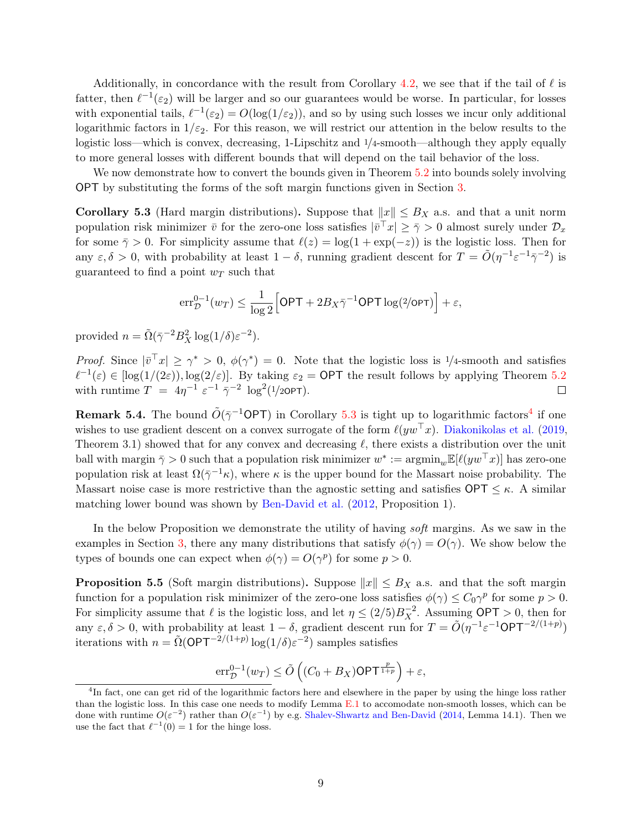Additionally, in concordance with the result from Corollary [4.2,](#page-5-2) we see that if the tail of  $\ell$  is fatter, then  $\ell^{-1}(\varepsilon_2)$  will be larger and so our guarantees would be worse. In particular, for losses with exponential tails,  $\ell^{-1}(\epsilon_2) = O(\log(1/\epsilon_2))$ , and so by using such losses we incur only additional logarithmic factors in  $1/\varepsilon_2$ . For this reason, we will restrict our attention in the below results to the logistic loss—which is convex, decreasing, 1-Lipschitz and 1/4-smooth—although they apply equally to more general losses with different bounds that will depend on the tail behavior of the loss.

We now demonstrate how to convert the bounds given in Theorem [5.2](#page-7-0) into bounds solely involving OPT by substituting the forms of the soft margin functions given in Section [3.](#page-3-0)

<span id="page-8-0"></span>Corollary 5.3 (Hard margin distributions). Suppose that  $||x|| \leq B_X$  a.s. and that a unit norm population risk minimizer  $\bar{v}$  for the zero-one loss satisfies  $|\bar{v}^\top x| \ge \bar{\gamma} > 0$  almost surely under  $\mathcal{D}_x$ for some  $\bar{\gamma} > 0$ . For simplicity assume that  $\ell(z) = \log(1 + \exp(-z))$  is the logistic loss. Then for any  $\varepsilon, \delta > 0$ , with probability at least  $1 - \delta$ , running gradient descent for  $T = \tilde{O}(\eta^{-1} \varepsilon^{-1} \bar{\gamma}^{-2})$  is guaranteed to find a point  $w_T$  such that

$$
\mathrm{err}_{\mathcal{D}}^{0-1}(w_T) \leq \frac{1}{\log 2} \Big[ \mathsf{OPT} + 2B_X \bar{\gamma}^{-1} \mathsf{OPT} \log(2/\mathsf{OPT}) \Big] + \varepsilon,
$$

provided  $n = \tilde{\Omega}(\bar{\gamma}^{-2}B_X^2 \log(1/\delta)\varepsilon^{-2}).$ 

*Proof.* Since  $|\bar{v}^T x| \ge \gamma^* > 0$ ,  $\phi(\gamma^*) = 0$ . Note that the logistic loss is 1/4-smooth and satisfies  $\ell^{-1}(\varepsilon) \in [\log(1/(2\varepsilon)), \log(2/\varepsilon)]$ . By taking  $\varepsilon_2 = \text{OPT}$  the result follows by applying Theorem [5.2](#page-7-0) with runtime  $T = 4\eta^{-1} \epsilon^{-1} \bar{\gamma}^{-2} \log^2(1/2\text{OPT}).$  $\Box$ 

**Remark 5.[4](#page-0-1).** The bound  $\tilde{O}(\bar{\gamma}^{-1}$ OPT) in Corollary [5.3](#page-8-0) is tight up to logarithmic factors<sup>4</sup> if one wishes to use gradient descent on a convex surrogate of the form  $\ell(yw^{\top}x)$ . [Diakonikolas et al.](#page-22-0) [\(2019,](#page-22-0) Theorem 3.1) showed that for any convex and decreasing  $\ell$ , there exists a distribution over the unit ball with margin  $\bar{\gamma} > 0$  such that a population risk minimizer  $w^* := \text{argmin}_w \mathbb{E}[\ell(yw^\top x)]$  has zero-one population risk at least  $\Omega(\bar{\gamma}^{-1}\kappa)$ , where  $\kappa$  is the upper bound for the Massart noise probability. The Massart noise case is more restrictive than the agnostic setting and satisfies  $\mathsf{OPT} \leq \kappa$ . A similar matching lower bound was shown by [Ben-David et al.](#page-22-7) [\(2012,](#page-22-7) Proposition 1).

In the below Proposition we demonstrate the utility of having soft margins. As we saw in the examples in Section [3,](#page-3-0) there any many distributions that satisfy  $\phi(\gamma) = O(\gamma)$ . We show below the types of bounds one can expect when  $\phi(\gamma) = O(\gamma^p)$  for some  $p > 0$ .

<span id="page-8-1"></span>**Proposition 5.5** (Soft margin distributions). Suppose  $||x|| \leq B_X$  a.s. and that the soft margin function for a population risk minimizer of the zero-one loss satisfies  $\phi(\gamma) \leq C_0 \gamma^p$  for some  $p > 0$ . For simplicity assume that  $\ell$  is the logistic loss, and let  $\eta \leq (2/5)B_X^{-2}$ . Assuming **OPT** > 0, then for any  $\varepsilon, \delta > 0$ , with probability at least  $1 - \delta$ , gradient descent run for  $T = \tilde{O}(\eta^{-1} \varepsilon^{-1} \mathsf{OPT}^{-2/(1+p)})$ iterations with  $n = \tilde{\Omega}(\mathsf{OPT}^{-2/(1+p)}\log(1/\delta)\varepsilon^{-2})$  samples satisfies

$$
\underbrace{\mathrm{err}_{\mathcal{D}}^{0-1}(w_T)} \leq \tilde{O}\left((C_0 + B_X)\mathsf{OPT}^{\frac{p}{1+p}}\right) + \varepsilon,
$$

<sup>&</sup>lt;sup>4</sup>In fact, one can get rid of the logarithmic factors here and elsewhere in the paper by using the hinge loss rather than the logistic loss. In this case one needs to modify Lemma [E.1](#page-20-1) to accomodate non-smooth losses, which can be done with runtime  $O(\varepsilon^{-2})$  rather than  $O(\varepsilon^{-1})$  by e.g. [Shalev-Shwartz and Ben-David](#page-23-12) [\(2014,](#page-23-12) Lemma 14.1). Then we use the fact that  $\ell^{-1}(0) = 1$  for the hinge loss.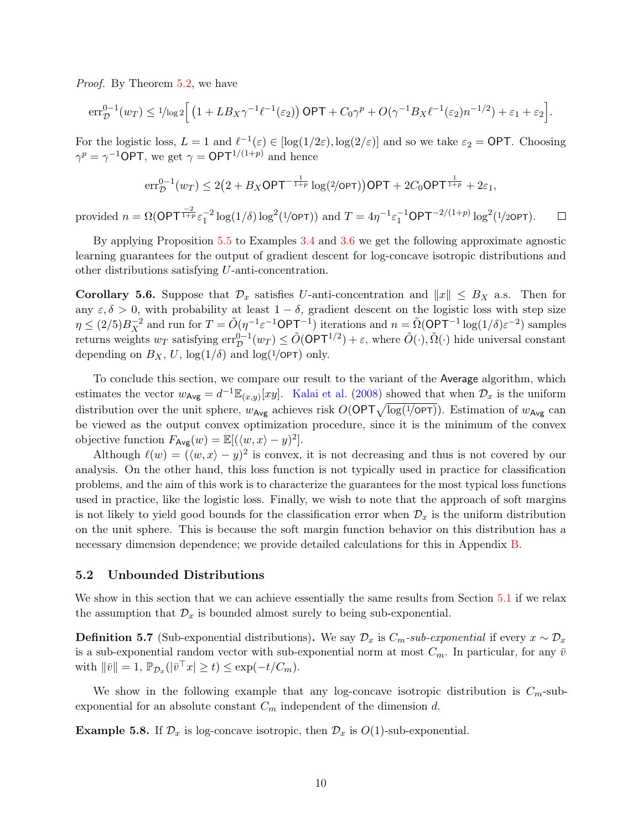Proof. By Theorem [5.2,](#page-7-0) we have

$$
\mathrm{err}_{\mathcal{D}}^{0-1}(w_T) \leq 1/\mathrm{log}\,2\Big[\left(1+LB_X\gamma^{-1}\ell^{-1}(\varepsilon_2)\right)\mathrm{OPT} + C_0\gamma^p + O(\gamma^{-1}B_X\ell^{-1}(\varepsilon_2)n^{-1/2}) + \varepsilon_1 + \varepsilon_2\Big].
$$

For the logistic loss,  $L = 1$  and  $\ell^{-1}(\varepsilon) \in [\log(1/2\varepsilon), \log(2/\varepsilon)]$  and so we take  $\varepsilon_2 = \text{OPT}$ . Choosing  $\gamma^p = \gamma^{-1}$ OPT, we get  $\gamma = \mathsf{OPT}^{1/(1+p)}$  and hence

$$
\mathrm{err}_{\mathcal{D}}^{0-1}(w_T) \le 2\big(2 + B_X\mathsf{OPT}^{-\frac{1}{1+p}}\log(2/\mathsf{OPT})\big)\mathsf{OPT} + 2C_0\mathsf{OPT}^{\frac{1}{1+p}} + 2\varepsilon_1,
$$

provided  $n = \Omega(\mathsf{OPT}^{\frac{-2}{1+p}} \varepsilon_1^{-2} \log(1/\delta) \log^2(1/\mathsf{OPT}))$  and  $T = 4\eta^{-1} \varepsilon_1^{-1} \mathsf{OPT}^{-2/(1+p)} \log^2(1/2\mathsf{OPT}).$  $\Box$ 

By applying Proposition [5.5](#page-8-1) to Examples [3.4](#page-4-1) and [3.6](#page-4-2) we get the following approximate agnostic learning guarantees for the output of gradient descent for log-concave isotropic distributions and other distributions satisfying U-anti-concentration.

<span id="page-9-0"></span>Corollary 5.6. Suppose that  $\mathcal{D}_x$  satisfies U-anti-concentration and  $||x|| \leq B_X$  a.s. Then for any  $\varepsilon, \delta > 0$ , with probability at least  $1 - \delta$ , gradient descent on the logistic loss with step size  $\eta \leq (2/5)B_X^{-2}$  and run for  $T = \tilde{O}(\eta^{-1} \varepsilon^{-1} \mathsf{OPT}^{-1})$  iterations and  $n = \tilde{\Omega}(\mathsf{OPT}^{-1} \log(1/\delta) \varepsilon^{-2})$  samples returns weights  $w_T$  satisfying  $err_{\mathcal{D}}^{0-1}(w_T) \leq \tilde{O}(\mathsf{OPT}^{1/2}) + \varepsilon$ , where  $\tilde{O}(\cdot), \tilde{\Omega}(\cdot)$  hide universal constant depending on  $B_X$ , U,  $\log(1/\delta)$  and  $\log(1/\text{OPT})$  only.

To conclude this section, we compare our result to the variant of the Average algorithm, which estimates the vector  $w_{\text{Avg}} = d^{-1} \mathbb{E}_{(x,y)}[xy]$ . [Kalai et al.](#page-23-6) [\(2008\)](#page-23-6) showed that when  $\mathcal{D}_x$  is the uniform distribution over the unit sphere,  $w_{Avg}$  achieves risk  $O(OPT\sqrt{\log(1/OPT)})$ . Estimation of  $w_{Avg}$  can be viewed as the output convex optimization procedure, since it is the minimum of the convex objective function  $F_{\mathsf{Avg}}(w) = \mathbb{E}[(\langle w, x \rangle - y)^2].$ 

Although  $\ell(w) = (\langle w, x \rangle - y)^2$  is convex, it is not decreasing and thus is not covered by our analysis. On the other hand, this loss function is not typically used in practice for classification problems, and the aim of this work is to characterize the guarantees for the most typical loss functions used in practice, like the logistic loss. Finally, we wish to note that the approach of soft margins is not likely to yield good bounds for the classification error when  $\mathcal{D}_x$  is the uniform distribution on the unit sphere. This is because the soft margin function behavior on this distribution has a necessary dimension dependence; we provide detailed calculations for this in Appendix [B.](#page-17-0)

#### 5.2 Unbounded Distributions

We show in this section that we can achieve essentially the same results from Section [5.1](#page-6-3) if we relax the assumption that  $\mathcal{D}_x$  is bounded almost surely to being sub-exponential.

**Definition 5.7** (Sub-exponential distributions). We say  $\mathcal{D}_x$  is  $C_m$ -sub-exponential if every  $x \sim \mathcal{D}_x$ is a sub-exponential random vector with sub-exponential norm at most  $C_m$ . In particular, for any  $\bar{v}$ with  $\|\bar{v}\| = 1$ ,  $\mathbb{P}_{\mathcal{D}_x}(|\bar{v}^\top x| \ge t) \le \exp(-t/C_m)$ .

We show in the following example that any log-concave isotropic distribution is  $C_m$ -subexponential for an absolute constant  $C_m$  independent of the dimension d.

<span id="page-9-1"></span>**Example 5.8.** If  $\mathcal{D}_x$  is log-concave isotropic, then  $\mathcal{D}_x$  is  $O(1)$ -sub-exponential.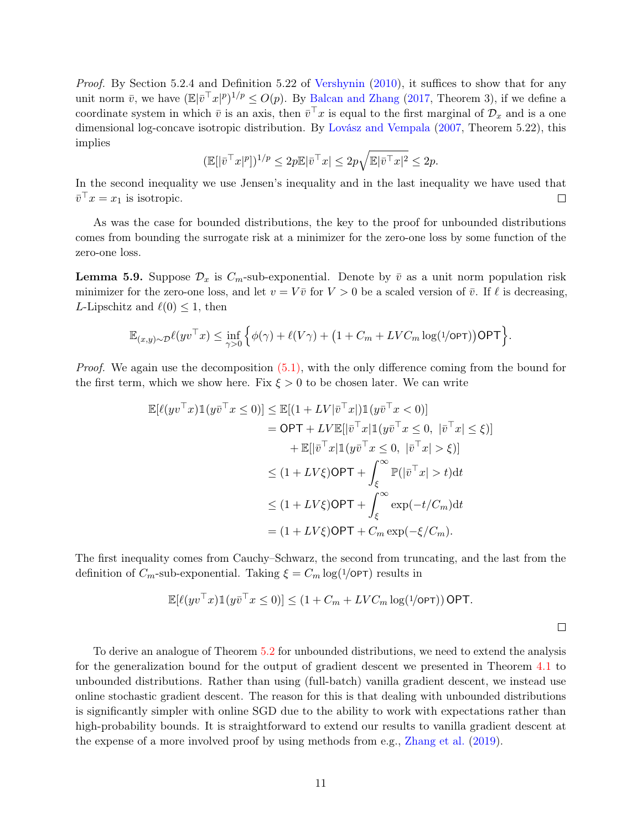Proof. By Section 5.2.4 and Definition 5.22 of [Vershynin](#page-24-2) [\(2010\)](#page-24-2), it suffices to show that for any unit norm  $\bar{v}$ , we have  $(\mathbb{E}|\bar{v}^\top x|^p)^{1/p} \le O(p)$ . By [Balcan and Zhang](#page-22-9) [\(2017,](#page-22-9) Theorem 3), if we define a coordinate system in which  $\bar{v}$  is an axis, then  $\bar{v}^\top x$  is equal to the first marginal of  $\mathcal{D}_x$  and is a one dimensional log-concave isotropic distribution. By [Lovász and Vempala](#page-23-13) [\(2007,](#page-23-13) Theorem 5.22), this implies

$$
(\mathbb{E}[|\bar{v}^{\top}x|^p])^{1/p} \le 2p\mathbb{E}|\bar{v}^{\top}x| \le 2p\sqrt{\mathbb{E}|\bar{v}^{\top}x|^2} \le 2p.
$$

In the second inequality we use Jensen's inequality and in the last inequality we have used that  $\bar{v}^\top x = x_1$  is isotropic.  $\Box$ 

As was the case for bounded distributions, the key to the proof for unbounded distributions comes from bounding the surrogate risk at a minimizer for the zero-one loss by some function of the zero-one loss.

<span id="page-10-0"></span>**Lemma 5.9.** Suppose  $\mathcal{D}_x$  is  $C_m$ -sub-exponential. Denote by  $\bar{v}$  as a unit norm population risk minimizer for the zero-one loss, and let  $v = V \overline{v}$  for  $V > 0$  be a scaled version of  $\overline{v}$ . If  $\ell$  is decreasing, L-Lipschitz and  $\ell(0) \leq 1$ , then

$$
\mathbb{E}_{(x,y)\sim\mathcal{D}}\ell(yv^\top x) \leq \inf_{\gamma>0} \left\{ \phi(\gamma)+\ell(V\gamma)+\big(1+C_m+LVC_m\log(1/\text{opt})\big)\text{OPT}\right\}.
$$

*Proof.* We again use the decomposition  $(5.1)$ , with the only difference coming from the bound for the first term, which we show here. Fix  $\xi > 0$  to be chosen later. We can write

$$
\mathbb{E}[\ell(yv^\top x)\mathbb{1}(y\bar{v}^\top x \le 0)] \le \mathbb{E}[(1 + LV|\bar{v}^\top x|)\mathbb{1}(y\bar{v}^\top x < 0)]
$$
  
\n
$$
= \mathsf{OPT} + LV\mathbb{E}[|\bar{v}^\top x|\mathbb{1}(y\bar{v}^\top x \le 0, |\bar{v}^\top x| \le \xi)]
$$
  
\n
$$
+ \mathbb{E}[|\bar{v}^\top x|\mathbb{1}(y\bar{v}^\top x \le 0, |\bar{v}^\top x| > \xi)]
$$
  
\n
$$
\le (1 + LV\xi)\mathsf{OPT} + \int_{\xi}^{\infty} \mathbb{P}(|\bar{v}^\top x| > t)dt
$$
  
\n
$$
\le (1 + LV\xi)\mathsf{OPT} + \int_{\xi}^{\infty} \exp(-t/C_m)dt
$$
  
\n
$$
= (1 + LV\xi)\mathsf{OPT} + C_m \exp(-\xi/C_m).
$$

The first inequality comes from Cauchy–Schwarz, the second from truncating, and the last from the definition of  $C_m$ -sub-exponential. Taking  $\xi = C_m \log(1/\text{OPT})$  results in

$$
\mathbb{E}[\ell(yv^\top x)\mathbb{1}(y\overline{v}^\top x \le 0)] \le (1 + C_m + LVC_m \log(1/\text{OPT})) \text{ OPT}.
$$

 $\Box$ 

To derive an analogue of Theorem [5.2](#page-7-0) for unbounded distributions, we need to extend the analysis for the generalization bound for the output of gradient descent we presented in Theorem [4.1](#page-5-1) to unbounded distributions. Rather than using (full-batch) vanilla gradient descent, we instead use online stochastic gradient descent. The reason for this is that dealing with unbounded distributions is significantly simpler with online SGD due to the ability to work with expectations rather than high-probability bounds. It is straightforward to extend our results to vanilla gradient descent at the expense of a more involved proof by using methods from e.g., [Zhang et al.](#page-24-3) [\(2019\)](#page-24-3).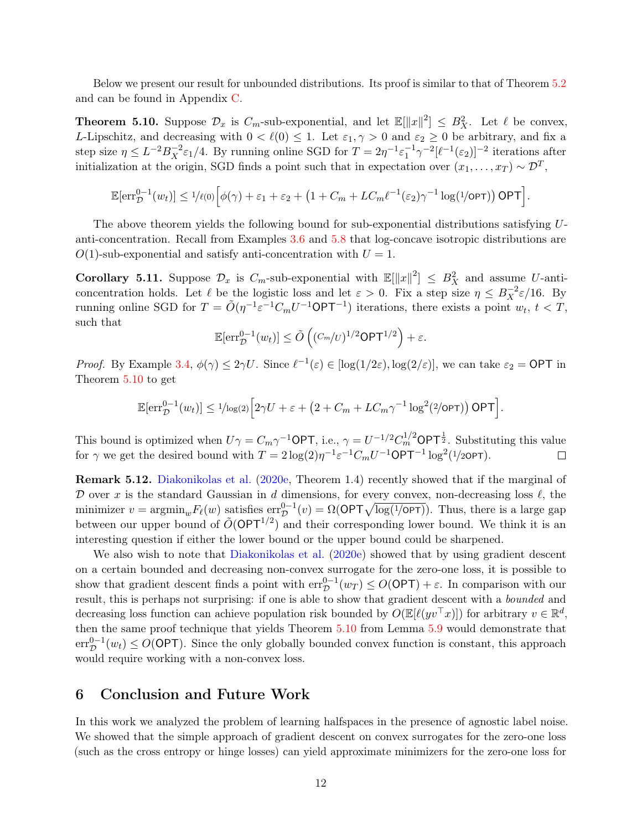Below we present our result for unbounded distributions. Its proof is similar to that of Theorem [5.2](#page-7-0) and can be found in Appendix [C.](#page-18-0)

<span id="page-11-2"></span>**Theorem 5.10.** Suppose  $\mathcal{D}_x$  is  $C_m$ -sub-exponential, and let  $\mathbb{E}[\|x\|^2] \leq B_X^2$ . Let  $\ell$  be convex, L-Lipschitz, and decreasing with  $0 < \ell(0) \leq 1$ . Let  $\varepsilon_1, \gamma > 0$  and  $\varepsilon_2 \geq 0$  be arbitrary, and fix a step size  $\eta \leq L^{-2} B_X^{-2} \varepsilon_1/4$ . By running online SGD for  $T = 2\eta^{-1} \varepsilon_1^{-1} \gamma^{-2} [\ell^{-1}(\varepsilon_2)]^{-2}$  iterations after initialization at the origin, SGD finds a point such that in expectation over  $(x_1, \ldots, x_T) \sim \mathcal{D}^T$ ,

$$
\mathbb{E}[\text{err}_{\mathcal{D}}^{0-1}(w_t)] \leq 1/\ell(0) \Big[ \phi(\gamma) + \varepsilon_1 + \varepsilon_2 + \left(1 + C_m + LC_m \ell^{-1}(\varepsilon_2) \gamma^{-1} \log(1/\text{OPT})\right) \text{OPT}\Big].
$$

The above theorem yields the following bound for sub-exponential distributions satisfying Uanti-concentration. Recall from Examples [3.6](#page-4-2) and [5.8](#page-9-1) that log-concave isotropic distributions are  $O(1)$ -sub-exponential and satisfy anti-concentration with  $U = 1$ .

<span id="page-11-0"></span>**Corollary 5.11.** Suppose  $\mathcal{D}_x$  is  $C_m$ -sub-exponential with  $\mathbb{E}[\|x\|^2] \leq B_X^2$  and assume U-anticoncentration holds. Let  $\ell$  be the logistic loss and let  $\varepsilon > 0$ . Fix a step size  $\eta \leq B_X^{-2}\varepsilon/16$ . By running online SGD for  $T = \tilde{O}(\eta^{-1} \varepsilon^{-1} C_m U^{-1} \textsf{OPT}^{-1})$  iterations, there exists a point  $w_t, t < T$ , such that

$$
\mathbb{E}[\mathrm{err}_{\mathcal{D}}^{0-1}(w_t)] \le \tilde{O}\left((C_m/v)^{1/2}\mathsf{OPT}^{1/2}\right) + \varepsilon.
$$

*Proof.* By Example [3.4,](#page-4-1)  $\phi(\gamma) \leq 2\gamma U$ . Since  $\ell^{-1}(\varepsilon) \in [\log(1/2\varepsilon), \log(2/\varepsilon)]$ , we can take  $\varepsilon_2 = \text{OPT}$  in Theorem [5.10](#page-11-2) to get

$$
\mathbb{E}[\mathrm{err}_{\mathcal{D}}^{0-1}(w_t)] \leq 1/\mathrm{log}(2)\Big[2\gamma U + \varepsilon + \left(2 + C_m + LC_m\gamma^{-1}\log^2(2/\mathrm{OPT})\right)\mathrm{OPT}\Big].
$$

This bound is optimized when  $U\gamma = C_m \gamma^{-1}$ OPT, i.e.,  $\gamma = U^{-1/2} C_m^{1/2}$ OPT<sup>1</sup>, Substituting this value for  $\gamma$  we get the desired bound with  $T = 2\log(2)\eta^{-1} \varepsilon^{-1} C_m U^{-1} \mathsf{OPT}^{-1} \log^2(1/2\mathsf{OPT}).$  $\Box$ 

Remark 5.12. [Diakonikolas et al.](#page-23-0) [\(2020e,](#page-23-0) Theorem 1.4) recently showed that if the marginal of D over x is the standard Gaussian in d dimensions, for every convex, non-decreasing loss  $\ell$ , the minimizer  $v = \operatorname{argmin}_w F_\ell(w)$  satisfies  $\operatorname{err}^{0-1}_\mathcal{D}(v) = \Omega(\mathsf{OPT}\sqrt{\log(1/\mathsf{OPT})})$ . Thus, there is a large gap between our upper bound of  $\tilde{O}(\mathsf{OPT}^{1/2})$  and their corresponding lower bound. We think it is an interesting question if either the lower bound or the upper bound could be sharpened.

We also wish to note that [Diakonikolas et al.](#page-23-0) [\(2020e\)](#page-23-0) showed that by using gradient descent on a certain bounded and decreasing non-convex surrogate for the zero-one loss, it is possible to show that gradient descent finds a point with  $err_{\mathcal{D}}^{0-1}(w_T) \leq O(\mathsf{OPT}) + \varepsilon$ . In comparison with our result, this is perhaps not surprising: if one is able to show that gradient descent with a bounded and decreasing loss function can achieve population risk bounded by  $O(\mathbb{E}[\ell(yv^{\top}x)])$  for arbitrary  $v \in \mathbb{R}^d$ , then the same proof technique that yields Theorem [5.10](#page-11-2) from Lemma [5.9](#page-10-0) would demonstrate that  $err_{\mathcal{D}}^{0-1}(w_t) \leq O(\mathsf{OPT})$ . Since the only globally bounded convex function is constant, this approach would require working with a non-convex loss.

#### <span id="page-11-1"></span>6 Conclusion and Future Work

In this work we analyzed the problem of learning halfspaces in the presence of agnostic label noise. We showed that the simple approach of gradient descent on convex surrogates for the zero-one loss (such as the cross entropy or hinge losses) can yield approximate minimizers for the zero-one loss for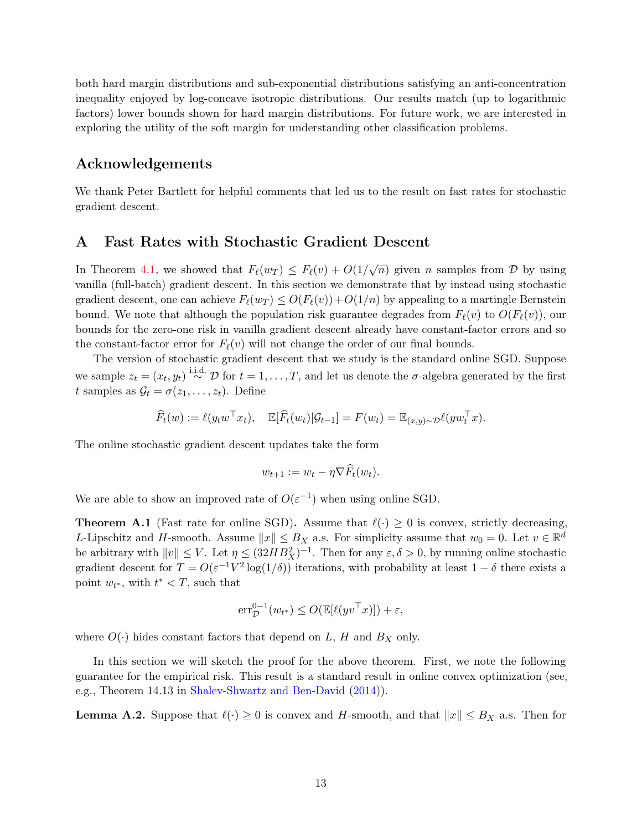both hard margin distributions and sub-exponential distributions satisfying an anti-concentration inequality enjoyed by log-concave isotropic distributions. Our results match (up to logarithmic factors) lower bounds shown for hard margin distributions. For future work, we are interested in exploring the utility of the soft margin for understanding other classification problems.

### Acknowledgements

We thank Peter Bartlett for helpful comments that led us to the result on fast rates for stochastic gradient descent.

#### <span id="page-12-0"></span>A Fast Rates with Stochastic Gradient Descent

In Theorem [4.1,](#page-5-1) we showed that  $F_{\ell}(w_T) \leq F_{\ell}(v) + O(1/\sqrt{n})$  given n samples from D by using vanilla (full-batch) gradient descent. In this section we demonstrate that by instead using stochastic gradient descent, one can achieve  $F_{\ell}(w_T) \leq O(F_{\ell}(v)) + O(1/n)$  by appealing to a martingle Bernstein bound. We note that although the population risk guarantee degrades from  $F_{\ell}(v)$  to  $O(F_{\ell}(v))$ , our bounds for the zero-one risk in vanilla gradient descent already have constant-factor errors and so the constant-factor error for  $F_{\ell}(v)$  will not change the order of our final bounds.

The version of stochastic gradient descent that we study is the standard online SGD. Suppose we sample  $z_t = (x_t, y_t) \stackrel{\text{i.i.d.}}{\sim} \mathcal{D}$  for  $t = 1, \ldots, T$ , and let us denote the  $\sigma$ -algebra generated by the first t samples as  $\mathcal{G}_t = \sigma(z_1, \ldots, z_t)$ . Define

$$
\widehat{F}_t(w) := \ell(y_t w^\top x_t), \quad \mathbb{E}[\widehat{F}_t(w_t)|\mathcal{G}_{t-1}] = F(w_t) = \mathbb{E}_{(x,y)\sim \mathcal{D}} \ell(y w_t^\top x).
$$

The online stochastic gradient descent updates take the form

$$
w_{t+1} := w_t - \eta \nabla F_t(w_t).
$$

We are able to show an improved rate of  $O(\varepsilon^{-1})$  when using online SGD.

<span id="page-12-1"></span>**Theorem A.1** (Fast rate for online SGD). Assume that  $\ell(\cdot) \geq 0$  is convex, strictly decreasing, L-Lipschitz and H-smooth. Assume  $||x|| \leq B_X$  a.s. For simplicity assume that  $w_0 = 0$ . Let  $v \in \mathbb{R}^d$ be arbitrary with  $||v|| \le V$ . Let  $\eta \le (32HB_X^2)^{-1}$ . Then for any  $\varepsilon, \delta > 0$ , by running online stochastic gradient descent for  $T = O(\varepsilon^{-1} V^2 \log(1/\delta))$  iterations, with probability at least  $1 - \delta$  there exists a point  $w_{t^*}$ , with  $t^* < T$ , such that

$$
\mathrm{err}_{\mathcal{D}}^{0-1}(w_{t^*}) \le O(\mathbb{E}[\ell(yv^\top x)]) + \varepsilon,
$$

where  $O(\cdot)$  hides constant factors that depend on L, H and B<sub>X</sub> only.

In this section we will sketch the proof for the above theorem. First, we note the following guarantee for the empirical risk. This result is a standard result in online convex optimization (see, e.g., Theorem 14.13 in [Shalev-Shwartz and Ben-David](#page-23-12) [\(2014\)](#page-23-12)).

<span id="page-12-2"></span>**Lemma A.2.** Suppose that  $\ell(\cdot) \geq 0$  is convex and H-smooth, and that  $||x|| \leq B_X$  a.s. Then for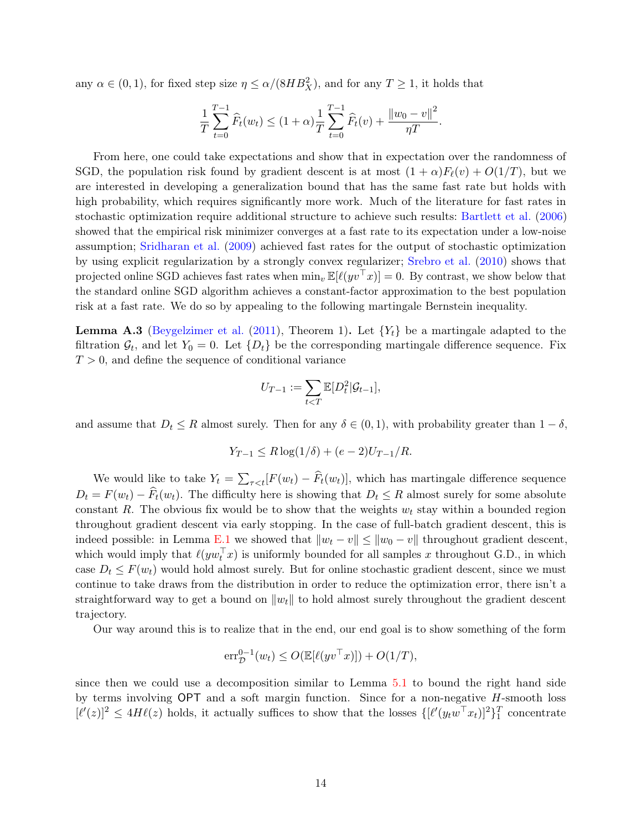any  $\alpha \in (0, 1)$ , for fixed step size  $\eta \leq \alpha/(8HB_X^2)$ , and for any  $T \geq 1$ , it holds that

$$
\frac{1}{T} \sum_{t=0}^{T-1} \widehat{F}_t(w_t) \le (1+\alpha) \frac{1}{T} \sum_{t=0}^{T-1} \widehat{F}_t(v) + \frac{\|w_0 - v\|^2}{\eta T}.
$$

From here, one could take expectations and show that in expectation over the randomness of SGD, the population risk found by gradient descent is at most  $(1 + \alpha)F_{\ell}(v) + O(1/T)$ , but we are interested in developing a generalization bound that has the same fast rate but holds with high probability, which requires significantly more work. Much of the literature for fast rates in stochastic optimization require additional structure to achieve such results: [Bartlett et al.](#page-22-12) [\(2006\)](#page-22-12) showed that the empirical risk minimizer converges at a fast rate to its expectation under a low-noise assumption; [Sridharan et al.](#page-24-4) [\(2009\)](#page-24-4) achieved fast rates for the output of stochastic optimization by using explicit regularization by a strongly convex regularizer; [Srebro et al.](#page-24-5) [\(2010\)](#page-24-5) shows that projected online SGD achieves fast rates when  $\min_v \mathbb{E}[\ell(yv^\top x)] = 0$ . By contrast, we show below that the standard online SGD algorithm achieves a constant-factor approximation to the best population risk at a fast rate. We do so by appealing to the following martingale Bernstein inequality.

<span id="page-13-0"></span>**Lemma A.3** [\(Beygelzimer et al.](#page-22-13) [\(2011\)](#page-22-13), Theorem 1). Let  ${Y_t}$  be a martingale adapted to the filtration  $\mathcal{G}_t$ , and let  $Y_0 = 0$ . Let  $\{D_t\}$  be the corresponding martingale difference sequence. Fix  $T > 0$ , and define the sequence of conditional variance

$$
U_{T-1} := \sum_{t < T} \mathbb{E}[D_t^2 | \mathcal{G}_{t-1}],
$$

and assume that  $D_t \leq R$  almost surely. Then for any  $\delta \in (0,1)$ , with probability greater than  $1-\delta$ ,

$$
Y_{T-1} \le R \log(1/\delta) + (e-2)U_{T-1}/R.
$$

We would like to take  $Y_t = \sum_{\tau \leq t} [F(w_t) - F_t(w_t)],$  which has martingale difference sequence  $D_t = F(w_t) - \hat{F}_t(w_t)$ . The difficulty here is showing that  $D_t \leq R$  almost surely for some absolute constant R. The obvious fix would be to show that the weights  $w_t$  stay within a bounded region throughout gradient descent via early stopping. In the case of full-batch gradient descent, this is indeed possible: in Lemma [E.1](#page-20-1) we showed that  $||w_t - v|| \le ||w_0 - v||$  throughout gradient descent. which would imply that  $\ell(yw_t^\top x)$  is uniformly bounded for all samples x throughout G.D., in which case  $D_t \leq F(w_t)$  would hold almost surely. But for online stochastic gradient descent, since we must continue to take draws from the distribution in order to reduce the optimization error, there isn't a straightforward way to get a bound on  $||w_t||$  to hold almost surely throughout the gradient descent trajectory.

Our way around this is to realize that in the end, our end goal is to show something of the form

$$
\mathrm{err}_{\mathcal{D}}^{0-1}(w_t) \le O(\mathbb{E}[\ell(yv^\top x)]) + O(1/T),
$$

since then we could use a decomposition similar to Lemma [5.1](#page-6-1) to bound the right hand side by terms involving  $OPT$  and a soft margin function. Since for a non-negative  $H$ -smooth loss  $[\ell'(z)]^2 \leq 4H\ell(z)$  holds, it actually suffices to show that the losses  $\{[\ell'(y_t w^\top x_t)]^2\}_1^T$  concentrate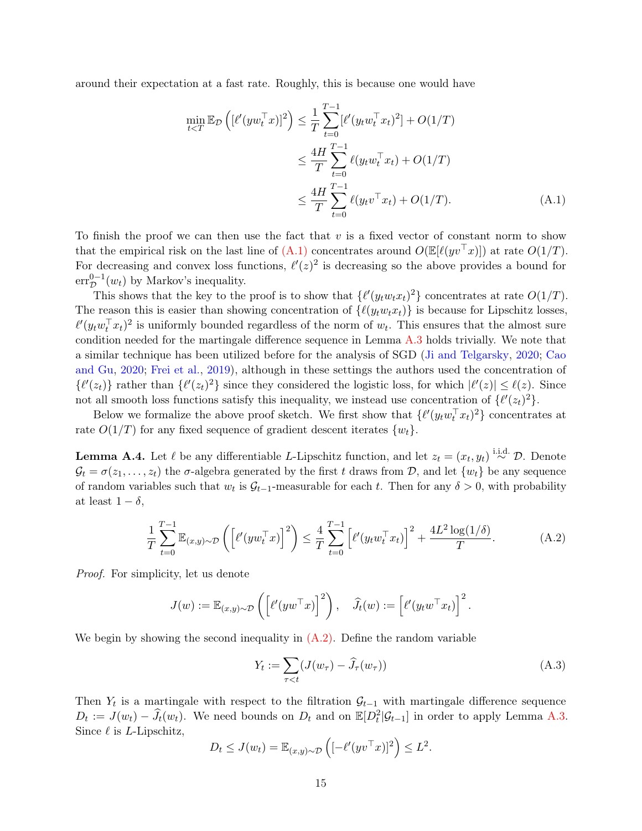around their expectation at a fast rate. Roughly, this is because one would have

<span id="page-14-0"></span>
$$
\min_{t\n
$$
\le \frac{4H}{T} \sum_{t=0}^{T-1} \ell(y_t w_t^\top x_t) + O(1/T)
$$
\n
$$
\le \frac{4H}{T} \sum_{t=0}^{T-1} \ell(y_t v^\top x_t) + O(1/T). \tag{A.1}
$$
$$

To finish the proof we can then use the fact that  $v$  is a fixed vector of constant norm to show that the empirical risk on the last line of  $(A.1)$  concentrates around  $O(E[\ell(yv^{\top}x)])$  at rate  $O(1/T)$ . For decreasing and convex loss functions,  $\ell'(z)^2$  is decreasing so the above provides a bound for  $err_{\mathcal{D}}^{0-1}(w_t)$  by Markov's inequality.

This shows that the key to the proof is to show that  $\{\ell'(y_t w_t x_t)^2\}$  concentrates at rate  $O(1/T)$ . The reason this is easier than showing concentration of  $\{\ell(y_t w_t x_t)\}\$ is because for Lipschitz losses,  $\ell'(y_t w_t^\top x_t)^2$  is uniformly bounded regardless of the norm of  $w_t$ . This ensures that the almost sure condition needed for the martingale difference sequence in Lemma [A.3](#page-13-0) holds trivially. We note that a similar technique has been utilized before for the analysis of SGD [\(Ji and Telgarsky,](#page-23-14) [2020;](#page-23-14) [Cao](#page-22-14) [and Gu,](#page-22-14) [2020;](#page-22-14) [Frei et al.,](#page-23-15) [2019\)](#page-23-15), although in these settings the authors used the concentration of  $\{\ell'(z_t)\}\$  rather than  $\{\ell'(z_t)^2\}\$  since they considered the logistic loss, for which  $|\ell'(z)| \leq \ell(z)$ . Since not all smooth loss functions satisfy this inequality, we instead use concentration of  $\{\ell'(z_t)^2\}$ .

Below we formalize the above proof sketch. We first show that  $\{\ell'(y_t w_t^{\top} x_t)^2\}$  concentrates at rate  $O(1/T)$  for any fixed sequence of gradient descent iterates  $\{w_t\}$ .

<span id="page-14-3"></span>**Lemma A.4.** Let  $\ell$  be any differentiable L-Lipschitz function, and let  $z_t = (x_t, y_t) \stackrel{\text{i.i.d.}}{\sim} \mathcal{D}$ . Denote  $\mathcal{G}_t = \sigma(z_1, \ldots, z_t)$  the  $\sigma$ -algebra generated by the first t draws from  $\mathcal{D}$ , and let  $\{w_t\}$  be any sequence of random variables such that  $w_t$  is  $\mathcal{G}_{t-1}$ -measurable for each t. Then for any  $\delta > 0$ , with probability at least  $1 - \delta$ ,

<span id="page-14-1"></span>
$$
\frac{1}{T} \sum_{t=0}^{T-1} \mathbb{E}_{(x,y)\sim\mathcal{D}}\left(\left[\ell'(yw_t^\top x)\right]^2\right) \le \frac{4}{T} \sum_{t=0}^{T-1} \left[\ell'(y_t w_t^\top x_t)\right]^2 + \frac{4L^2 \log(1/\delta)}{T}.\tag{A.2}
$$

Proof. For simplicity, let us denote

$$
J(w) := \mathbb{E}_{(x,y)\sim\mathcal{D}}\left(\left[\ell'(yw^\top x)\right]^2\right), \quad \widehat{J}_t(w) := \left[\ell'(y_t w^\top x_t)\right]^2
$$

We begin by showing the second inequality in  $(A.2)$ . Define the random variable

$$
Y_t := \sum_{\tau < t} (J(w_\tau) - \widehat{J}_\tau(w_\tau)) \tag{A.3}
$$

.

Then  $Y_t$  is a martingale with respect to the filtration  $\mathcal{G}_{t-1}$  with martingale difference sequence  $D_t := J(w_t) - \hat{J}_t(w_t)$ . We need bounds on  $D_t$  and on  $\mathbb{E}[D_t^2 | \mathcal{G}_{t-1}]$  in order to apply Lemma [A.3.](#page-13-0) Since  $\ell$  is *L*-Lipschitz,

<span id="page-14-2"></span>
$$
D_t \leq J(w_t) = \mathbb{E}_{(x,y)\sim\mathcal{D}}\left([ -\ell'(yv^\top x)]^2 \right) \leq L^2.
$$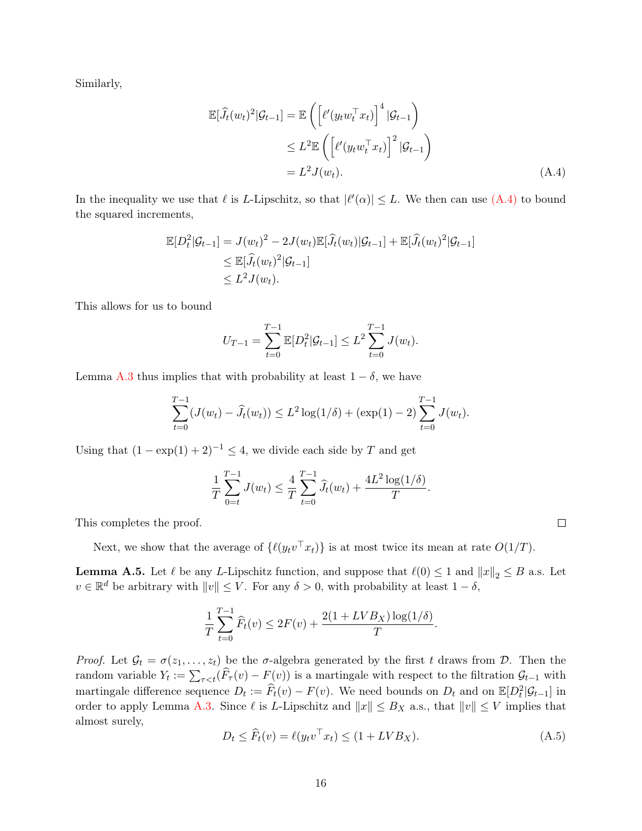Similarly,

$$
\mathbb{E}[\widehat{J}_t(w_t)^2 | \mathcal{G}_{t-1}] = \mathbb{E}\left(\left[\ell'(y_t w_t^\top x_t)\right]^4 | \mathcal{G}_{t-1}\right)
$$
  
\n
$$
\leq L^2 \mathbb{E}\left(\left[\ell'(y_t w_t^\top x_t)\right]^2 | \mathcal{G}_{t-1}\right)
$$
  
\n
$$
= L^2 J(w_t). \tag{A.4}
$$

In the inequality we use that  $\ell$  is L-Lipschitz, so that  $|\ell'(\alpha)| \leq L$ . We then can use  $(A.4)$  to bound the squared increments,

$$
\mathbb{E}[D_t^2|\mathcal{G}_{t-1}] = J(w_t)^2 - 2J(w_t)\mathbb{E}[\widehat{J}_t(w_t)|\mathcal{G}_{t-1}] + \mathbb{E}[\widehat{J}_t(w_t)^2|\mathcal{G}_{t-1}] \n\leq \mathbb{E}[\widehat{J}_t(w_t)^2|\mathcal{G}_{t-1}] \n\leq L^2J(w_t).
$$

This allows for us to bound

<span id="page-15-0"></span>
$$
U_{T-1} = \sum_{t=0}^{T-1} \mathbb{E}[D_t^2 | \mathcal{G}_{t-1}] \leq L^2 \sum_{t=0}^{T-1} J(w_t).
$$

Lemma [A.3](#page-13-0) thus implies that with probability at least  $1 - \delta$ , we have

$$
\sum_{t=0}^{T-1} (J(w_t) - \widehat{J}_t(w_t)) \le L^2 \log(1/\delta) + (\exp(1) - 2) \sum_{t=0}^{T-1} J(w_t).
$$

Using that  $(1 - \exp(1) + 2)^{-1} \leq 4$ , we divide each side by T and get

$$
\frac{1}{T} \sum_{0=t}^{T-1} J(w_t) \leq \frac{4}{T} \sum_{t=0}^{T-1} \widehat{J}_t(w_t) + \frac{4L^2 \log(1/\delta)}{T}.
$$

This completes the proof.

Next, we show that the average of  $\{\ell(y_t v^\top x_t)\}\$ is at most twice its mean at rate  $O(1/T)$ .

<span id="page-15-1"></span>**Lemma A.5.** Let  $\ell$  be any L-Lipschitz function, and suppose that  $\ell(0) \leq 1$  and  $||x||_2 \leq B$  a.s. Let  $v \in \mathbb{R}^d$  be arbitrary with  $||v|| \leq V$ . For any  $\delta > 0$ , with probability at least  $1 - \delta$ ,

$$
\frac{1}{T} \sum_{t=0}^{T-1} \widehat{F}_t(v) \le 2F(v) + \frac{2(1 + LVB_X) \log(1/\delta)}{T}.
$$

Proof. Let  $\mathcal{G}_t = \sigma(z_1, \ldots, z_t)$  be the  $\sigma$ -algebra generated by the first t draws from  $\mathcal{D}$ . Then the random variable  $Y_t := \sum_{\tau \leq t} (F_\tau(v) - F(v))$  is a martingale with respect to the filtration  $\mathcal{G}_{t-1}$  with martingale difference sequence  $D_t := \widehat{F}_t(v) - F(v)$ . We need bounds on  $D_t$  and on  $\mathbb{E}[D_t^2 | \mathcal{G}_{t-1}]$  in order to apply Lemma [A.3.](#page-13-0) Since  $\ell$  is L-Lipschitz and  $||x|| \leq B_X$  a.s., that  $||v|| \leq V$  implies that almost surely,

$$
D_t \le \widehat{F}_t(v) = \ell(y_t v^\top x_t) \le (1 + LV B_X). \tag{A.5}
$$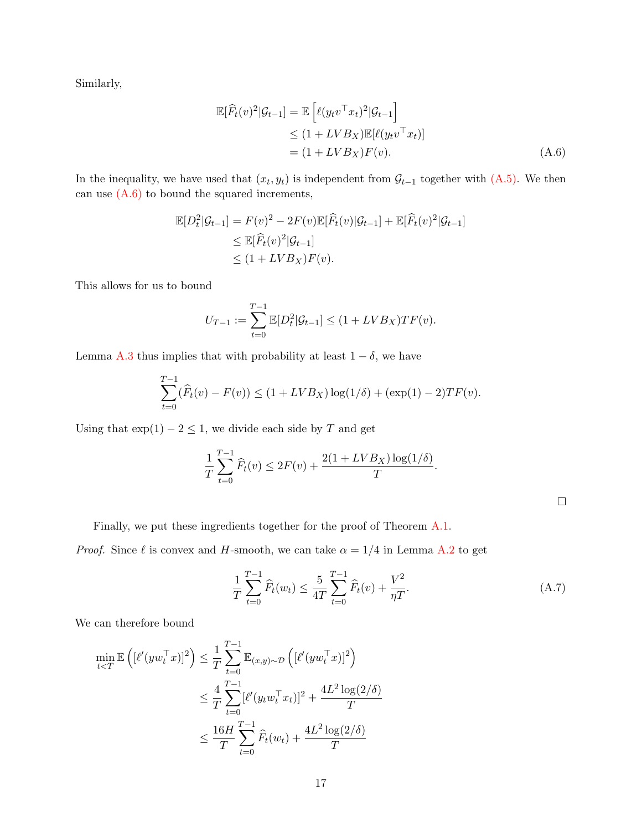Similarly,

<span id="page-16-0"></span>
$$
\mathbb{E}[\widehat{F}_t(v)^2|\mathcal{G}_{t-1}] = \mathbb{E}\left[\ell(y_t v^\top x_t)^2|\mathcal{G}_{t-1}\right] \n\leq (1 + LVB_X)\mathbb{E}[\ell(y_t v^\top x_t)] \n= (1 + LVB_X)F(v).
$$
\n(A.6)

In the inequality, we have used that  $(x_t, y_t)$  is independent from  $\mathcal{G}_{t-1}$  together with  $(A.5)$ . We then can use  $(A.6)$  to bound the squared increments,

$$
\mathbb{E}[D_t^2|\mathcal{G}_{t-1}] = F(v)^2 - 2F(v)\mathbb{E}[\widehat{F}_t(v)|\mathcal{G}_{t-1}] + \mathbb{E}[\widehat{F}_t(v)^2|\mathcal{G}_{t-1}]
$$
  
\n
$$
\leq \mathbb{E}[\widehat{F}_t(v)^2|\mathcal{G}_{t-1}]
$$
  
\n
$$
\leq (1 + LVB_X)F(v).
$$

This allows for us to bound

$$
U_{T-1} := \sum_{t=0}^{T-1} \mathbb{E}[D_t^2 | \mathcal{G}_{t-1}] \le (1 + LVB_X)TF(v).
$$

Lemma [A.3](#page-13-0) thus implies that with probability at least  $1 - \delta$ , we have

$$
\sum_{t=0}^{T-1} (\widehat{F}_t(v) - F(v)) \le (1 + LVB_X) \log(1/\delta) + (\exp(1) - 2)TF(v).
$$

Using that  $\exp(1) - 2 \leq 1$ , we divide each side by T and get

<span id="page-16-1"></span>
$$
\frac{1}{T} \sum_{t=0}^{T-1} \widehat{F}_t(v) \le 2F(v) + \frac{2(1 + LVB_X)\log(1/\delta)}{T}.
$$

Finally, we put these ingredients together for the proof of Theorem [A.1.](#page-12-1)

*Proof.* Since  $\ell$  is convex and H-smooth, we can take  $\alpha = 1/4$  in Lemma [A.2](#page-12-2) to get

$$
\frac{1}{T} \sum_{t=0}^{T-1} \widehat{F}_t(w_t) \le \frac{5}{4T} \sum_{t=0}^{T-1} \widehat{F}_t(v) + \frac{V^2}{\eta T}.
$$
\n(A.7)

We can therefore bound

$$
\min_{t  

$$
\leq \frac{4}{T} \sum_{t=0}^{T-1} [\ell'(y_t w_t^\top x_t)]^2 + \frac{4L^2 \log(2/\delta)}{T}
$$
  

$$
\leq \frac{16H}{T} \sum_{t=0}^{T-1} \widehat{F}_t(w_t) + \frac{4L^2 \log(2/\delta)}{T}
$$
$$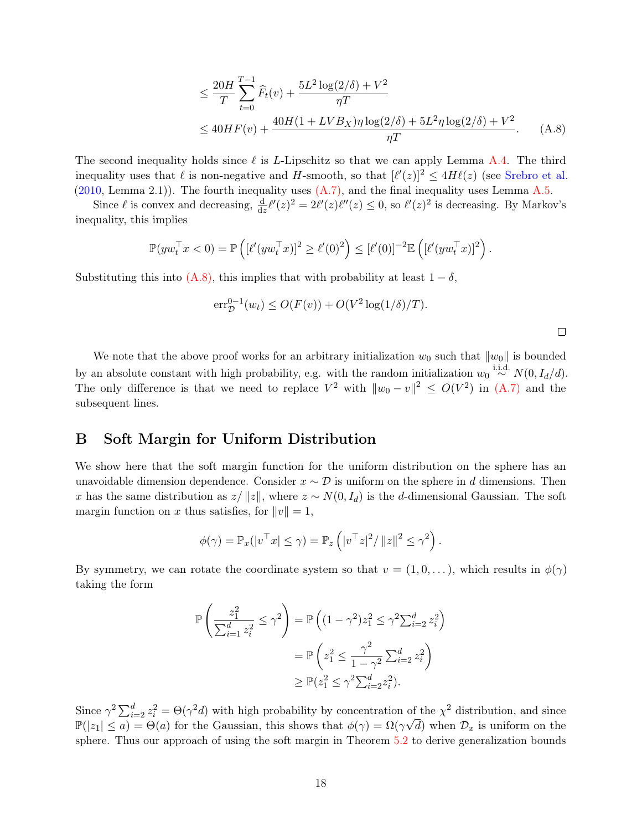<span id="page-17-1"></span>
$$
\leq \frac{20H}{T} \sum_{t=0}^{T-1} \widehat{F}_t(v) + \frac{5L^2 \log(2/\delta) + V^2}{\eta T}
$$
  

$$
\leq 40HF(v) + \frac{40H(1 + LVB_X)\eta \log(2/\delta) + 5L^2 \eta \log(2/\delta) + V^2}{\eta T}.
$$
 (A.8)

The second inequality holds since  $\ell$  is L-Lipschitz so that we can apply Lemma [A.4.](#page-14-3) The third inequality uses that  $\ell$  is non-negative and H-smooth, so that  $[\ell'(z)]^2 \leq 4H\ell(z)$  (see [Srebro et al.](#page-24-5)  $(2010, \text{Lemma } 2.1)$  $(2010, \text{Lemma } 2.1)$ . The fourth inequality uses  $(A.7)$ , and the final inequality uses Lemma [A.5.](#page-15-1)

Since  $\ell$  is convex and decreasing,  $\frac{d}{dz}\ell'(z)^2 = 2\ell'(z)\ell''(z) \leq 0$ , so  $\ell'(z)^2$  is decreasing. By Markov's inequality, this implies

$$
\mathbb{P}(yw_t^\top x < 0) = \mathbb{P}\left( [\ell'(yw_t^\top x)]^2 \ge \ell'(0)^2 \right) \le [\ell'(0)]^{-2} \mathbb{E}\left( [\ell'(yw_t^\top x)]^2 \right).
$$

Substituting this into  $(A.8)$ , this implies that with probability at least  $1 - \delta$ ,

$$
\mathrm{err}_{\mathcal{D}}^{0-1}(w_t) \le O(F(v)) + O(V^2 \log(1/\delta)/T).
$$

We note that the above proof works for an arbitrary initialization  $w_0$  such that  $||w_0||$  is bounded by an absolute constant with high probability, e.g. with the random initialization  $w_0 \stackrel{\text{i.i.d.}}{\sim} N(0, I_d/d)$ . The only difference is that we need to replace  $V^2$  with  $||w_0 - v||^2 \le O(V^2)$  in  $(A.7)$  and the subsequent lines.

### <span id="page-17-0"></span>B Soft Margin for Uniform Distribution

We show here that the soft margin function for the uniform distribution on the sphere has an unavoidable dimension dependence. Consider  $x \sim \mathcal{D}$  is uniform on the sphere in d dimensions. Then x has the same distribution as  $z/||z||$ , where  $z \sim N(0, I_d)$  is the d-dimensional Gaussian. The soft margin function on x thus satisfies, for  $||v|| = 1$ ,

$$
\phi(\gamma) = \mathbb{P}_x(|v^\top x| \leq \gamma) = \mathbb{P}_z\left(|v^\top z|^2 / \|z\|^2 \leq \gamma^2\right).
$$

By symmetry, we can rotate the coordinate system so that  $v = (1, 0, \ldots)$ , which results in  $\phi(\gamma)$ taking the form

$$
\mathbb{P}\left(\frac{z_1^2}{\sum_{i=1}^d z_i^2} \le \gamma^2\right) = \mathbb{P}\left((1-\gamma^2)z_1^2 \le \gamma^2 \sum_{i=2}^d z_i^2\right)
$$

$$
= \mathbb{P}\left(z_1^2 \le \frac{\gamma^2}{1-\gamma^2} \sum_{i=2}^d z_i^2\right)
$$

$$
\ge \mathbb{P}(z_1^2 \le \gamma^2 \sum_{i=2}^d z_i^2).
$$

Since  $\gamma^2 \sum_{i=2}^d z_i^2 = \Theta(\gamma^2 d)$  with high probability by concentration of the  $\chi^2$  distribution, and since  $\mathbb{P}(|z_1| \leq a) = \Theta(a)$  for the Gaussian, this shows that  $\phi(\gamma) = \Omega(\gamma \sqrt{d})$  when  $\mathcal{D}_x$  is uniform on the sphere. Thus our approach of using the soft margin in Theorem [5.2](#page-7-0) to derive generalization bounds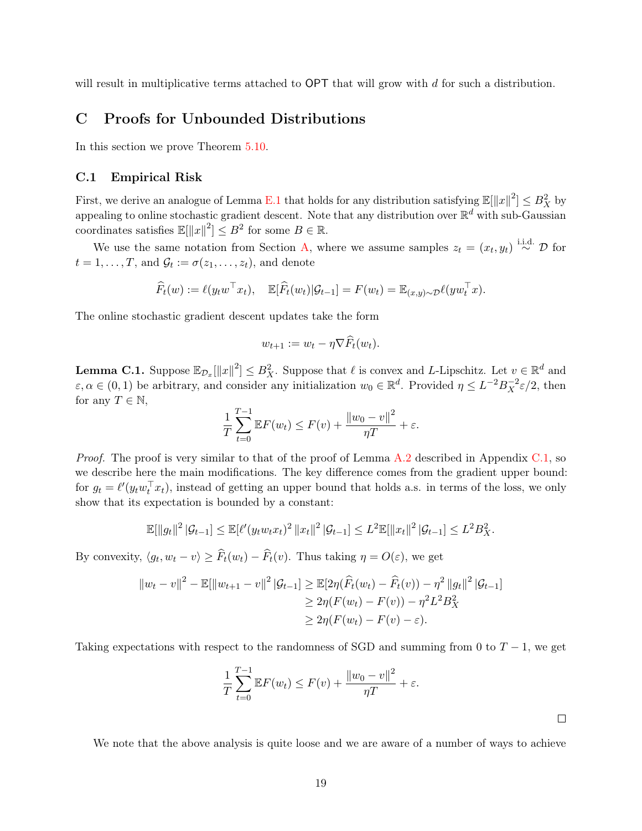will result in multiplicative terms attached to OPT that will grow with d for such a distribution.

## <span id="page-18-0"></span>C Proofs for Unbounded Distributions

In this section we prove Theorem [5.10.](#page-11-2)

#### <span id="page-18-1"></span>C.1 Empirical Risk

First, we derive an analogue of Lemma [E.1](#page-20-1) that holds for any distribution satisfying  $\mathbb{E}[\|x\|^2] \leq B_X^2$  by appealing to online stochastic gradient descent. Note that any distribution over  $\mathbb{R}^d$  with sub-Gaussian coordinates satisfies  $\mathbb{E}[\Vert x \Vert^2] \leq B^2$  for some  $B \in \mathbb{R}$ .

We use the same notation from Section [A,](#page-12-0) where we assume samples  $z_t = (x_t, y_t) \stackrel{\text{i.i.d.}}{\sim} \mathcal{D}$  for  $t = 1, \ldots, T$ , and  $\mathcal{G}_t := \sigma(z_1, \ldots, z_t)$ , and denote

$$
\widehat{F}_t(w) := \ell(y_t w^\top x_t), \quad \mathbb{E}[\widehat{F}_t(w_t)|\mathcal{G}_{t-1}] = F(w_t) = \mathbb{E}_{(x,y)\sim \mathcal{D}} \ell(y w_t^\top x).
$$

The online stochastic gradient descent updates take the form

$$
w_{t+1} := w_t - \eta \nabla \widehat{F}_t(w_t).
$$

<span id="page-18-2"></span>**Lemma C.1.** Suppose  $\mathbb{E}_{\mathcal{D}_x}[\|x\|^2] \leq B_X^2$ . Suppose that  $\ell$  is convex and L-Lipschitz. Let  $v \in \mathbb{R}^d$  and  $\varepsilon, \alpha \in (0, 1)$  be arbitrary, and consider any initialization  $w_0 \in \mathbb{R}^d$ . Provided  $\eta \leq L^{-2} B_X^{-2} \varepsilon/2$ , then for any  $T \in \mathbb{N}$ ,

$$
\frac{1}{T} \sum_{t=0}^{T-1} \mathbb{E} F(w_t) \le F(v) + \frac{\|w_0 - v\|^2}{\eta T} + \varepsilon.
$$

Proof. The proof is very similar to that of the proof of Lemma [A.2](#page-12-2) described in Appendix [C.1,](#page-18-1) so we describe here the main modifications. The key difference comes from the gradient upper bound: for  $g_t = \ell'(y_t w_t^{\top} x_t)$ , instead of getting an upper bound that holds a.s. in terms of the loss, we only show that its expectation is bounded by a constant:

$$
\mathbb{E}[\|g_t\|^2 |\mathcal{G}_{t-1}] \leq \mathbb{E}[\ell'(y_t w_t x_t)^2 \|x_t\|^2 |\mathcal{G}_{t-1}] \leq L^2 \mathbb{E}[\|x_t\|^2 |\mathcal{G}_{t-1}] \leq L^2 B_X^2.
$$

By convexity,  $\langle g_t, w_t - v \rangle \ge \overline{F}_t(w_t) - \overline{F}_t(v)$ . Thus taking  $\eta = O(\varepsilon)$ , we get

$$
||w_t - v||^2 - \mathbb{E}[||w_{t+1} - v||^2 |\mathcal{G}_{t-1}] \ge \mathbb{E}[2\eta(\widehat{F}_t(w_t) - \widehat{F}_t(v)) - \eta^2 ||g_t||^2 |\mathcal{G}_{t-1}]
$$
  
\n
$$
\ge 2\eta(F(w_t) - F(v)) - \eta^2 L^2 B_X^2
$$
  
\n
$$
\ge 2\eta(F(w_t) - F(v) - \varepsilon).
$$

Taking expectations with respect to the randomness of SGD and summing from 0 to  $T - 1$ , we get

$$
\frac{1}{T} \sum_{t=0}^{T-1} \mathbb{E} F(w_t) \le F(v) + \frac{\|w_0 - v\|^2}{\eta T} + \varepsilon.
$$

 $\Box$ 

We note that the above analysis is quite loose and we are aware of a number of ways to achieve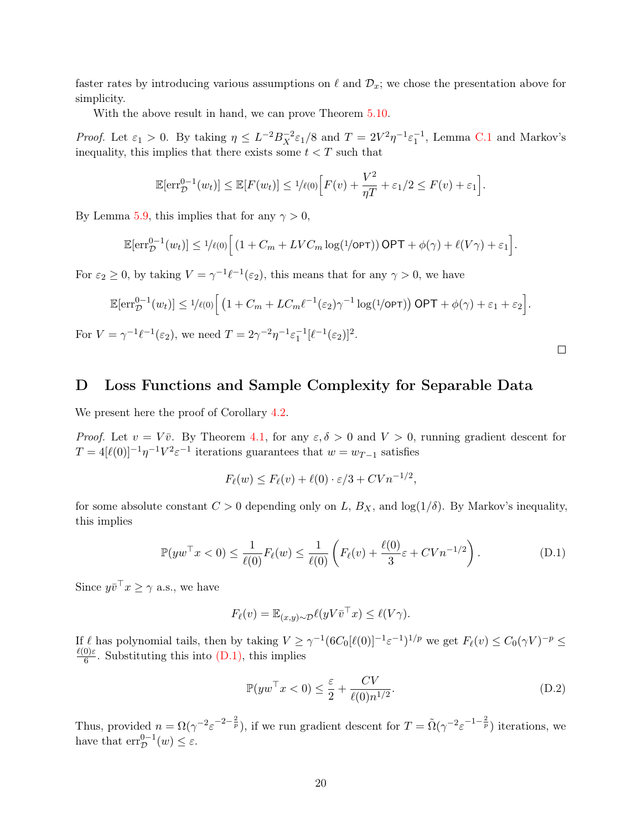faster rates by introducing various assumptions on  $\ell$  and  $\mathcal{D}_x$ ; we chose the presentation above for simplicity.

With the above result in hand, we can prove Theorem [5.10.](#page-11-2)

*Proof.* Let  $\varepsilon_1 > 0$ . By taking  $\eta \leq L^{-2} B_X^{-2} \varepsilon_1/8$  and  $T = 2V^2 \eta^{-1} \varepsilon_1^{-1}$ , Lemma [C.1](#page-18-2) and Markov's inequality, this implies that there exists some  $t < T$  such that

$$
\mathbb{E}[\text{err}_{\mathcal{D}}^{0-1}(w_t)] \leq \mathbb{E}[F(w_t)] \leq \frac{1}{\ell(0)} \Big[ F(v) + \frac{V^2}{\eta T} + \varepsilon_1/2 \leq F(v) + \varepsilon_1 \Big].
$$

By Lemma [5.9,](#page-10-0) this implies that for any  $\gamma > 0$ ,

$$
\mathbb{E}[\mathrm{err}_{\mathcal{D}}^{0-1}(w_t)] \leq 1/\ell(0) \Big[ \left(1 + C_m + LVC_m \log(1/\mathrm{OPT})\right) \mathrm{OPT} + \phi(\gamma) + \ell(V\gamma) + \varepsilon_1 \Big].
$$

For  $\varepsilon_2 \geq 0$ , by taking  $V = \gamma^{-1} \ell^{-1} (\varepsilon_2)$ , this means that for any  $\gamma > 0$ , we have

$$
\mathbb{E}[\mathrm{err}_{\mathcal{D}}^{0-1}(w_t)] \leq 1/\ell(0) \Big[ \left(1 + C_m + LC_m \ell^{-1}(\varepsilon_2) \gamma^{-1} \log(1/\mathrm{OPT})\right) \mathrm{OPT} + \phi(\gamma) + \varepsilon_1 + \varepsilon_2 \Big].
$$

For  $V = \gamma^{-1} \ell^{-1}(\varepsilon_2)$ , we need  $T = 2\gamma^{-2} \eta^{-1} \varepsilon_1^{-1} [\ell^{-1}(\varepsilon_2)]^2$ .

### <span id="page-19-0"></span>D Loss Functions and Sample Complexity for Separable Data

We present here the proof of Corollary [4.2.](#page-5-2)

*Proof.* Let  $v = V\overline{v}$ . By Theorem [4.1,](#page-5-1) for any  $\varepsilon, \delta > 0$  and  $V > 0$ , running gradient descent for  $T = 4[\ell(0)]^{-1} \eta^{-1} V^2 \varepsilon^{-1}$  iterations guarantees that  $w = w_{T-1}$  satisfies

<span id="page-19-1"></span>
$$
F_{\ell}(w) \le F_{\ell}(v) + \ell(0) \cdot \varepsilon/3 + CVn^{-1/2},
$$

for some absolute constant  $C > 0$  depending only on L,  $B_X$ , and  $\log(1/\delta)$ . By Markov's inequality, this implies

$$
\mathbb{P}(yw^{\top}x < 0) \le \frac{1}{\ell(0)}F_{\ell}(w) \le \frac{1}{\ell(0)}\left(F_{\ell}(v) + \frac{\ell(0)}{3}\varepsilon + CVn^{-1/2}\right). \tag{D.1}
$$

Since  $y\bar{v}^\top x \geq \gamma$  a.s., we have

$$
F_{\ell}(v) = \mathbb{E}_{(x,y)\sim\mathcal{D}} \ell(yV\bar{v}^{\top}x) \le \ell(V\gamma).
$$

If  $\ell$  has polynomial tails, then by taking  $V \geq \gamma^{-1} (6C_0[\ell(0)]^{-1} \varepsilon^{-1})^{1/p}$  we get  $F_\ell(v) \leq C_0(\gamma V)^{-p} \leq$  $\ell(0)\varepsilon$  $\frac{0.6}{6}$ . Substituting this into  $(D.1)$ , this implies

<span id="page-19-2"></span>
$$
\mathbb{P}(yw^{\top}x<0) \le \frac{\varepsilon}{2} + \frac{CV}{\ell(0)n^{1/2}}.
$$
\n(D.2)

Thus, provided  $n = \Omega(\gamma^{-2} \varepsilon^{-2-\frac{2}{p}})$ , if we run gradient descent for  $T = \tilde{\Omega}(\gamma^{-2} \varepsilon^{-1-\frac{2}{p}})$  iterations, we have that  $\text{err}_{\mathcal{D}}^{0-1}(w) \leq \varepsilon$ .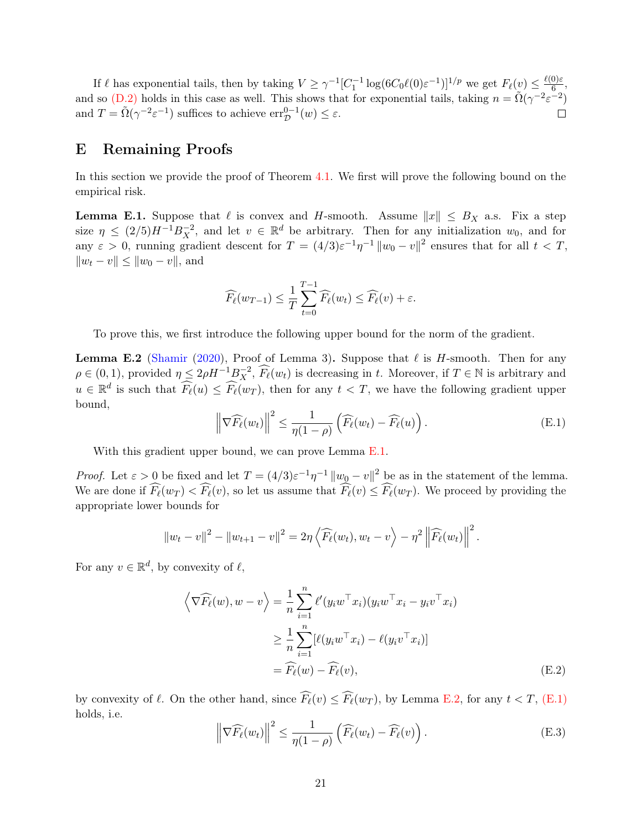If  $\ell$  has exponential tails, then by taking  $V \ge \gamma^{-1} [C_1^{-1} \log (6C_0 \ell(0) \varepsilon^{-1})]^{1/p}$  we get  $F_\ell(v) \le \frac{\ell(0)\varepsilon^{-1}}{6}$  $\frac{0}{6}$ , and so [\(D.2\)](#page-19-2) holds in this case as well. This shows that for exponential tails, taking  $n = \tilde{\Omega}(\gamma^{-2} \varepsilon^{-2})$ and  $T = \tilde{\Omega}(\gamma^{-2} \varepsilon^{-1})$  suffices to achieve  $\text{err}_{\mathcal{D}}^{0-1}(w) \leq \varepsilon$ .

## <span id="page-20-0"></span>E Remaining Proofs

In this section we provide the proof of Theorem [4.1.](#page-5-1) We first will prove the following bound on the empirical risk.

<span id="page-20-1"></span>**Lemma E.1.** Suppose that  $\ell$  is convex and H-smooth. Assume  $||x|| \leq B_X$  a.s. Fix a step size  $\eta \leq (2/5)H^{-1}B_X^{-2}$ , and let  $v \in \mathbb{R}^d$  be arbitrary. Then for any initialization  $w_0$ , and for any  $\varepsilon > 0$ , running gradient descent for  $T = (4/3)\varepsilon^{-1}\eta^{-1} ||w_0 - v||^2$  ensures that for all  $t < T$ ,  $||w_t - v|| \le ||w_0 - v||$ , and

<span id="page-20-3"></span>
$$
\widehat{F_{\ell}}(w_{T-1}) \leq \frac{1}{T} \sum_{t=0}^{T-1} \widehat{F_{\ell}}(w_t) \leq \widehat{F_{\ell}}(v) + \varepsilon.
$$

To prove this, we first introduce the following upper bound for the norm of the gradient.

<span id="page-20-2"></span>**Lemma E.2** [\(Shamir](#page-24-6) [\(2020\)](#page-24-6), Proof of Lemma 3). Suppose that  $\ell$  is H-smooth. Then for any  $\rho \in (0,1)$ , provided  $\eta \leq 2\rho H^{-1} B_X^{-2}$ ,  $\widehat{F}_{\ell}(w_t)$  is decreasing in t. Moreover, if  $T \in \mathbb{N}$  is arbitrary and  $u \in \mathbb{R}^d$  is such that  $\widehat{F_{\ell}}(u) \leq \widehat{F_{\ell}}(w_T)$ , then for any  $t < T$ , we have the following gradient upper bound,

$$
\left\| \nabla \widehat{F}_{\ell}(w_t) \right\|^2 \le \frac{1}{\eta(1-\rho)} \left( \widehat{F}_{\ell}(w_t) - \widehat{F}_{\ell}(u) \right). \tag{E.1}
$$

With this gradient upper bound, we can prove Lemma [E.1.](#page-20-1)

*Proof.* Let  $\varepsilon > 0$  be fixed and let  $T = (4/3)\varepsilon^{-1}\eta^{-1} ||w_0 - v||^2$  be as in the statement of the lemma. We are done if  $F_{\ell}(w_T) < F_{\ell}(v)$ , so let us assume that  $F_{\ell}(v) \leq F_{\ell}(w_T)$ . We proceed by providing the appropriate lower bounds for

<span id="page-20-4"></span>
$$
||w_t - v||^2 - ||w_{t+1} - v||^2 = 2\eta \left\langle \widehat{F}_{\ell}(w_t), w_t - v \right\rangle - \eta^2 \left\| \widehat{F}_{\ell}(w_t) \right\|^2.
$$

For any  $v \in \mathbb{R}^d$ , by convexity of  $\ell$ ,

$$
\left\langle \nabla \widehat{F_{\ell}}(w), w - v \right\rangle = \frac{1}{n} \sum_{i=1}^{n} \ell'(y_i w^{\top} x_i)(y_i w^{\top} x_i - y_i v^{\top} x_i)
$$
  
\n
$$
\geq \frac{1}{n} \sum_{i=1}^{n} [\ell(y_i w^{\top} x_i) - \ell(y_i v^{\top} x_i)]
$$
  
\n
$$
= \widehat{F_{\ell}}(w) - \widehat{F_{\ell}}(v), \tag{E.2}
$$

by convexity of  $\ell$ . On the other hand, since  $\widehat{F}_{\ell}(v) \leq \widehat{F}_{\ell}(w_T)$ , by Lemma [E.2,](#page-20-2) for any  $t < T$ , [\(E.1\)](#page-20-3) holds, i.e.

<span id="page-20-5"></span>
$$
\left\| \nabla \widehat{F}_{\ell}(w_t) \right\|^2 \le \frac{1}{\eta(1-\rho)} \left( \widehat{F}_{\ell}(w_t) - \widehat{F}_{\ell}(v) \right). \tag{E.3}
$$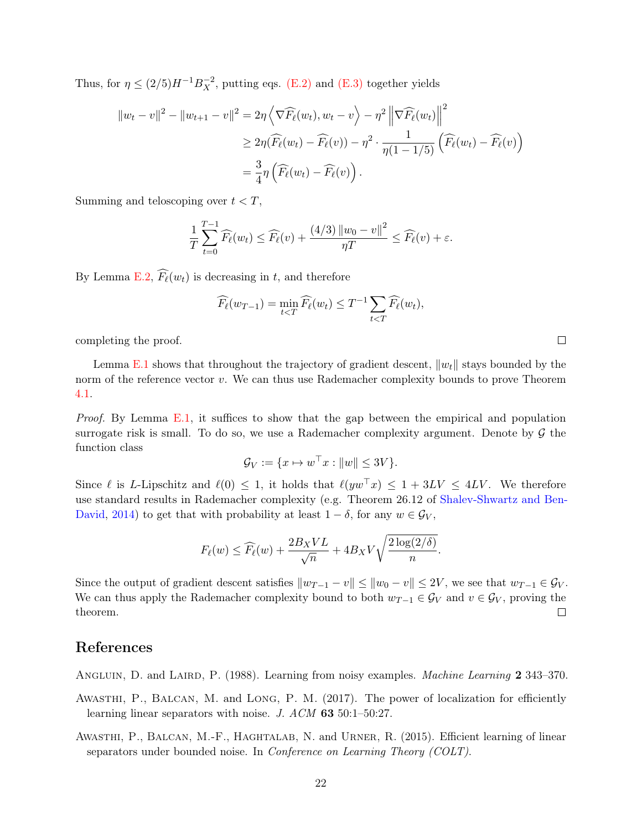Thus, for  $\eta \leq (2/5)H^{-1}B_X^{-2}$ , putting eqs. [\(E.2\)](#page-20-4) and [\(E.3\)](#page-20-5) together yields

$$
||w_t - v||^2 - ||w_{t+1} - v||^2 = 2\eta \left\langle \nabla \widehat{F_\ell}(w_t), w_t - v \right\rangle - \eta^2 \left\| \nabla \widehat{F_\ell}(w_t) \right\|^2
$$
  
\n
$$
\geq 2\eta(\widehat{F_\ell}(w_t) - \widehat{F_\ell}(v)) - \eta^2 \cdot \frac{1}{\eta(1 - 1/5)} (\widehat{F_\ell}(w_t) - \widehat{F_\ell}(v))
$$
  
\n
$$
= \frac{3}{4} \eta \left( \widehat{F_\ell}(w_t) - \widehat{F_\ell}(v) \right).
$$

Summing and teloscoping over  $t < T$ ,

$$
\frac{1}{T}\sum_{t=0}^{T-1}\widehat{F_{\ell}}(w_t) \le \widehat{F_{\ell}}(v) + \frac{(4/3)\left\|w_0 - v\right\|^2}{\eta T} \le \widehat{F_{\ell}}(v) + \varepsilon.
$$

By Lemma [E.2,](#page-20-2)  $\widehat{F}_{\ell}(w_t)$  is decreasing in t, and therefore

$$
\widehat{F_{\ell}}(w_{T-1}) = \min_{t < T} \widehat{F_{\ell}}(w_t) \le T^{-1} \sum_{t < T} \widehat{F_{\ell}}(w_t),
$$

completing the proof.

Lemma [E.1](#page-20-1) shows that throughout the trajectory of gradient descent,  $\|w_t\|$  stays bounded by the norm of the reference vector  $v$ . We can thus use Rademacher complexity bounds to prove Theorem [4.1.](#page-5-1)

*Proof.* By Lemma [E.1,](#page-20-1) it suffices to show that the gap between the empirical and population surrogate risk is small. To do so, we use a Rademacher complexity argument. Denote by  $\mathcal G$  the function class

$$
\mathcal{G}_V := \{ x \mapsto w^\top x : ||w|| \le 3V \}.
$$

Since  $\ell$  is L-Lipschitz and  $\ell(0) \leq 1$ , it holds that  $\ell(yw^{\top}x) \leq 1 + 3LV \leq 4LV$ . We therefore use standard results in Rademacher complexity (e.g. Theorem 26.12 of [Shalev-Shwartz and Ben-](#page-23-12)[David,](#page-23-12) [2014\)](#page-23-12) to get that with probability at least  $1 - \delta$ , for any  $w \in \mathcal{G}_V$ ,

$$
F_{\ell}(w) \le \widehat{F_{\ell}}(w) + \frac{2B_XVL}{\sqrt{n}} + 4B_XV\sqrt{\frac{2\log(2/\delta)}{n}}
$$

.

Since the output of gradient descent satisfies  $||w_{T-1} - v|| \le ||w_0 - v|| \le 2V$ , we see that  $w_{T-1} \in \mathcal{G}_V$ . We can thus apply the Rademacher complexity bound to both  $w_{T-1} \in \mathcal{G}_V$  and  $v \in \mathcal{G}_V$ , proving the theorem.  $\Box$ 

## References

<span id="page-21-0"></span>ANGLUIN, D. and LAIRD, P. (1988). Learning from noisy examples. *Machine Learning* 2 343–370.

- <span id="page-21-2"></span>AWASTHI, P., BALCAN, M. and LONG, P. M. (2017). The power of localization for efficiently learning linear separators with noise. J. ACM 63 50:1–50:27.
- <span id="page-21-1"></span>AWASTHI, P., BALCAN, M.-F., HAGHTALAB, N. and URNER, R. (2015). Efficient learning of linear separators under bounded noise. In Conference on Learning Theory (COLT).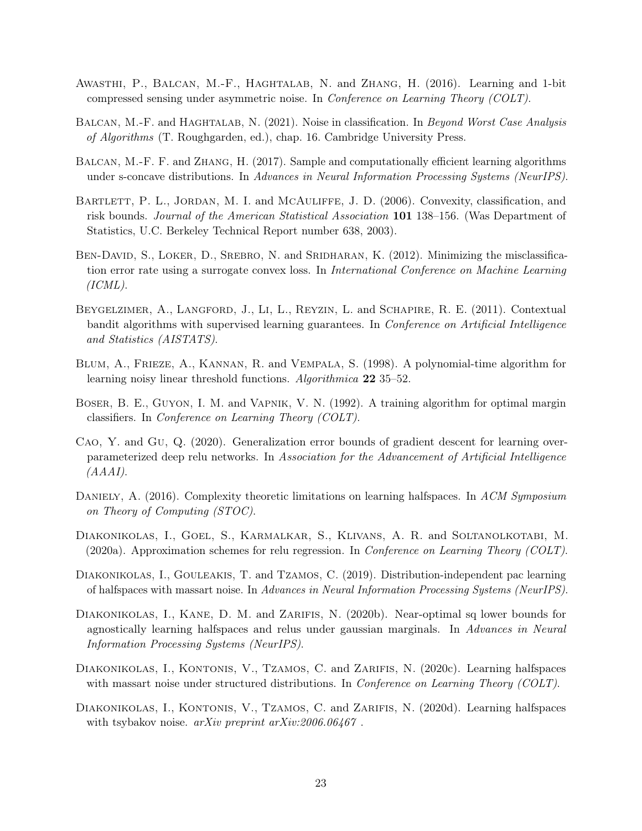- <span id="page-22-4"></span>Awasthi, P., Balcan, M.-F., Haghtalab, N. and Zhang, H. (2016). Learning and 1-bit compressed sensing under asymmetric noise. In Conference on Learning Theory (COLT).
- <span id="page-22-6"></span>BALCAN, M.-F. and HAGHTALAB, N. (2021). Noise in classification. In Beyond Worst Case Analysis of Algorithms (T. Roughgarden, ed.), chap. 16. Cambridge University Press.
- <span id="page-22-9"></span>Balcan, M.-F. F. and Zhang, H. (2017). Sample and computationally efficient learning algorithms under s-concave distributions. In Advances in Neural Information Processing Systems (NeurIPS).
- <span id="page-22-12"></span>BARTLETT, P. L., JORDAN, M. I. and MCAULIFFE, J. D. (2006). Convexity, classification, and risk bounds. Journal of the American Statistical Association 101 138–156. (Was Department of Statistics, U.C. Berkeley Technical Report number 638, 2003).
- <span id="page-22-7"></span>BEN-DAVID, S., LOKER, D., SREBRO, N. and SRIDHARAN, K. (2012). Minimizing the misclassification error rate using a surrogate convex loss. In International Conference on Machine Learning  $(ICML).$
- <span id="page-22-13"></span>Beygelzimer, A., Langford, J., Li, L., Reyzin, L. and Schapire, R. E. (2011). Contextual bandit algorithms with supervised learning guarantees. In Conference on Artificial Intelligence and Statistics (AISTATS).
- <span id="page-22-3"></span>Blum, A., Frieze, A., Kannan, R. and Vempala, S. (1998). A polynomial-time algorithm for learning noisy linear threshold functions. Algorithmica 22 35–52.
- <span id="page-22-1"></span>Boser, B. E., Guyon, I. M. and Vapnik, V. N. (1992). A training algorithm for optimal margin classifiers. In Conference on Learning Theory (COLT).
- <span id="page-22-14"></span>Cao, Y. and Gu, Q. (2020). Generalization error bounds of gradient descent for learning overparameterized deep relu networks. In Association for the Advancement of Artificial Intelligence (AAAI).
- <span id="page-22-2"></span>DANIELY, A. (2016). Complexity theoretic limitations on learning halfspaces. In ACM Symposium on Theory of Computing (STOC).
- <span id="page-22-8"></span>Diakonikolas, I., Goel, S., Karmalkar, S., Klivans, A. R. and Soltanolkotabi, M.  $(2020a)$ . Approximation schemes for relu regression. In *Conference on Learning Theory (COLT)*.
- <span id="page-22-0"></span>DIAKONIKOLAS, I., GOULEAKIS, T. and TZAMOS, C. (2019). Distribution-independent pac learning of halfspaces with massart noise. In Advances in Neural Information Processing Systems (NeurIPS).
- <span id="page-22-5"></span>DIAKONIKOLAS, I., KANE, D. M. and ZARIFIS, N. (2020b). Near-optimal sq lower bounds for agnostically learning halfspaces and relus under gaussian marginals. In Advances in Neural Information Processing Systems (NeurIPS).
- <span id="page-22-10"></span>DIAKONIKOLAS, I., KONTONIS, V., TZAMOS, C. and ZARIFIS, N. (2020c). Learning halfspaces with massart noise under structured distributions. In *Conference on Learning Theory (COLT)*.
- <span id="page-22-11"></span>DIAKONIKOLAS, I., KONTONIS, V., TZAMOS, C. and ZARIFIS, N. (2020d). Learning halfspaces with tsybakov noise. *arXiv preprint arXiv:2006.06467*.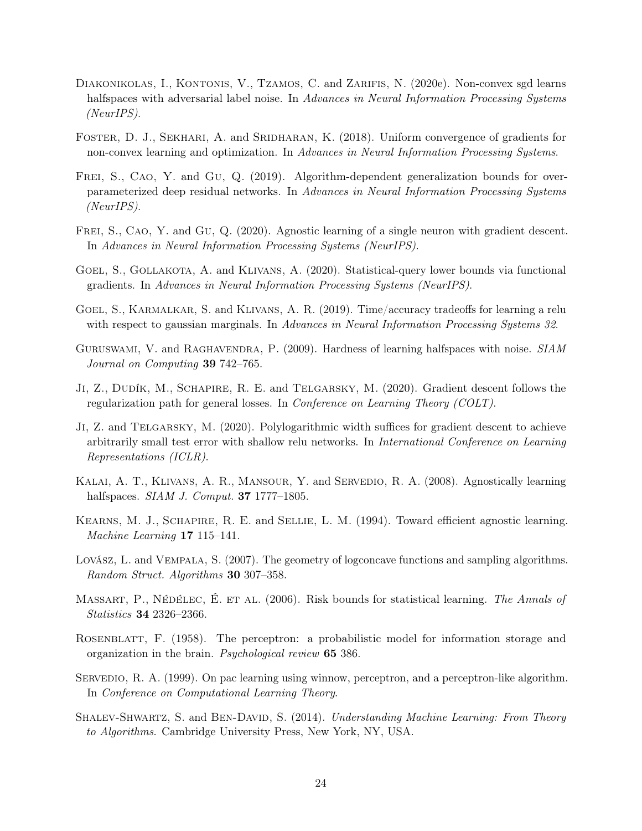- <span id="page-23-0"></span>DIAKONIKOLAS, I., KONTONIS, V., TZAMOS, C. and ZARIFIS, N. (2020e). Non-convex sgd learns halfspaces with adversarial label noise. In Advances in Neural Information Processing Systems (NeurIPS).
- <span id="page-23-10"></span>FOSTER, D. J., SEKHARI, A. and SRIDHARAN, K. (2018). Uniform convergence of gradients for non-convex learning and optimization. In Advances in Neural Information Processing Systems.
- <span id="page-23-15"></span>FREI, S., CAO, Y. and GU, Q. (2019). Algorithm-dependent generalization bounds for overparameterized deep residual networks. In Advances in Neural Information Processing Systems (NeurIPS).
- <span id="page-23-8"></span>FREI, S., CAO, Y. and GU, Q. (2020). Agnostic learning of a single neuron with gradient descent. In Advances in Neural Information Processing Systems (NeurIPS).
- <span id="page-23-5"></span>GOEL, S., GOLLAKOTA, A. and KLIVANS, A. (2020). Statistical-query lower bounds via functional gradients. In Advances in Neural Information Processing Systems (NeurIPS).
- <span id="page-23-9"></span>Goel, S., Karmalkar, S. and Klivans, A. R. (2019). Time/accuracy tradeoffs for learning a relu with respect to gaussian marginals. In Advances in Neural Information Processing Systems 32.
- <span id="page-23-3"></span>GURUSWAMI, V. and RAGHAVENDRA, P. (2009). Hardness of learning halfspaces with noise. SIAM Journal on Computing 39 742–765.
- <span id="page-23-11"></span>Ji, Z., Dudík, M., Schapire, R. E. and Telgarsky, M. (2020). Gradient descent follows the regularization path for general losses. In Conference on Learning Theory (COLT).
- <span id="page-23-14"></span>Ji, Z. and Telgarsky, M. (2020). Polylogarithmic width suffices for gradient descent to achieve arbitrarily small test error with shallow relu networks. In International Conference on Learning Representations (ICLR).
- <span id="page-23-6"></span>KALAI, A. T., KLIVANS, A. R., MANSOUR, Y. and SERVEDIO, R. A. (2008). Agnostically learning halfspaces. *SIAM J. Comput.* **37** 1777–1805.
- <span id="page-23-2"></span>KEARNS, M. J., SCHAPIRE, R. E. and SELLIE, L. M. (1994). Toward efficient agnostic learning. Machine Learning 17 115–141.
- <span id="page-23-13"></span>Lovász, L. and Vempala, S. (2007). The geometry of logconcave functions and sampling algorithms. Random Struct. Algorithms 30 307–358.
- <span id="page-23-4"></span>MASSART, P., NÉDÉLEC, É. ET AL. (2006). Risk bounds for statistical learning. The Annals of Statistics 34 2326–2366.
- <span id="page-23-1"></span>ROSENBLATT, F. (1958). The perceptron: a probabilistic model for information storage and organization in the brain. Psychological review 65 386.
- <span id="page-23-7"></span>SERVEDIO, R. A. (1999). On pac learning using winnow, perceptron, and a perceptron-like algorithm. In Conference on Computational Learning Theory.
- <span id="page-23-12"></span>SHALEV-SHWARTZ, S. and BEN-DAVID, S. (2014). Understanding Machine Learning: From Theory to Algorithms. Cambridge University Press, New York, NY, USA.